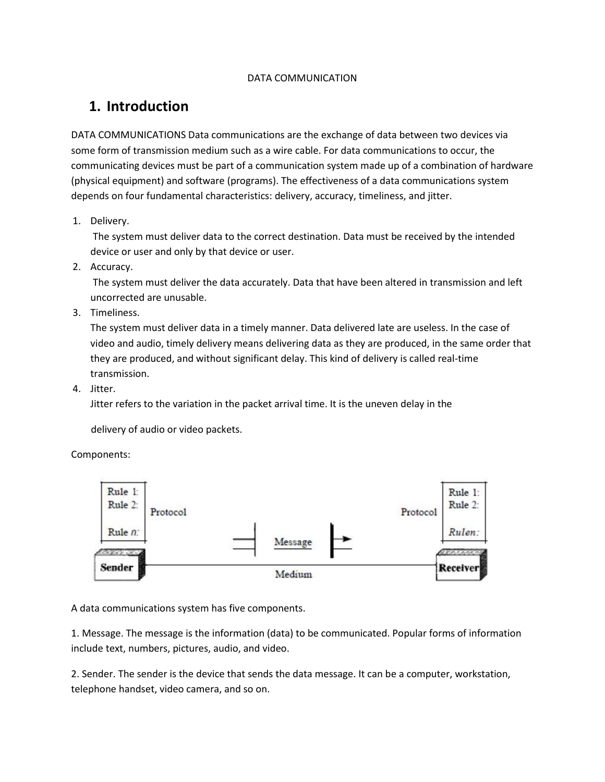### DATA COMMUNICATION

## **1. Introduction**

DATA COMMUNICATIONS Data communications are the exchange of data between two devices via some form of transmission medium such as a wire cable. For data communications to occur, the communicating devices must be part of a communication system made up of a combination of hardware (physical equipment) and software (programs). The effectiveness of a data communications system depends on four fundamental characteristics: delivery, accuracy, timeliness, and jitter.

1. Delivery.

The system must deliver data to the correct destination. Data must be received by the intended device or user and only by that device or user.

2. Accuracy.

The system must deliver the data accurately. Data that have been altered in transmission and left uncorrected are unusable.

3. Timeliness.

The system must deliver data in a timely manner. Data delivered late are useless. In the case of video and audio, timely delivery means delivering data as they are produced, in the same order that they are produced, and without significant delay. This kind of delivery is called real-time transmission.

4. Jitter.

Jitter refers to the variation in the packet arrival time. It is the uneven delay in the

delivery of audio or video packets.

Components:



A data communications system has five components.

1. Message. The message is the information (data) to be communicated. Popular forms of information include text, numbers, pictures, audio, and video.

2. Sender. The sender is the device that sends the data message. It can be a computer, workstation, telephone handset, video camera, and so on.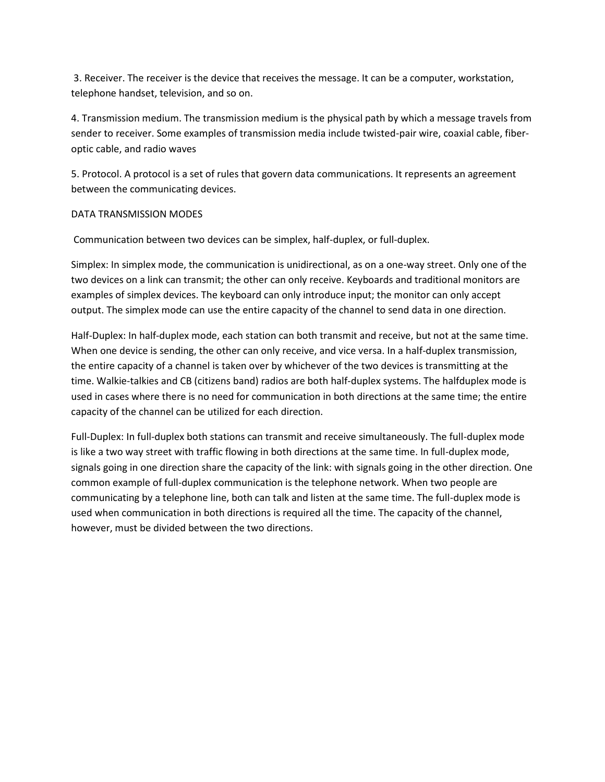3. Receiver. The receiver is the device that receives the message. It can be a computer, workstation, telephone handset, television, and so on.

4. Transmission medium. The transmission medium is the physical path by which a message travels from sender to receiver. Some examples of transmission media include twisted-pair wire, coaxial cable, fiberoptic cable, and radio waves

5. Protocol. A protocol is a set of rules that govern data communications. It represents an agreement between the communicating devices.

### DATA TRANSMISSION MODES

Communication between two devices can be simplex, half-duplex, or full-duplex.

Simplex: In simplex mode, the communication is unidirectional, as on a one-way street. Only one of the two devices on a link can transmit; the other can only receive. Keyboards and traditional monitors are examples of simplex devices. The keyboard can only introduce input; the monitor can only accept output. The simplex mode can use the entire capacity of the channel to send data in one direction.

Half-Duplex: In half-duplex mode, each station can both transmit and receive, but not at the same time. When one device is sending, the other can only receive, and vice versa. In a half-duplex transmission, the entire capacity of a channel is taken over by whichever of the two devices is transmitting at the time. Walkie-talkies and CB (citizens band) radios are both half-duplex systems. The halfduplex mode is used in cases where there is no need for communication in both directions at the same time; the entire capacity of the channel can be utilized for each direction.

Full-Duplex: In full-duplex both stations can transmit and receive simultaneously. The full-duplex mode is like a two way street with traffic flowing in both directions at the same time. In full-duplex mode, signals going in one direction share the capacity of the link: with signals going in the other direction. One common example of full-duplex communication is the telephone network. When two people are communicating by a telephone line, both can talk and listen at the same time. The full-duplex mode is used when communication in both directions is required all the time. The capacity of the channel, however, must be divided between the two directions.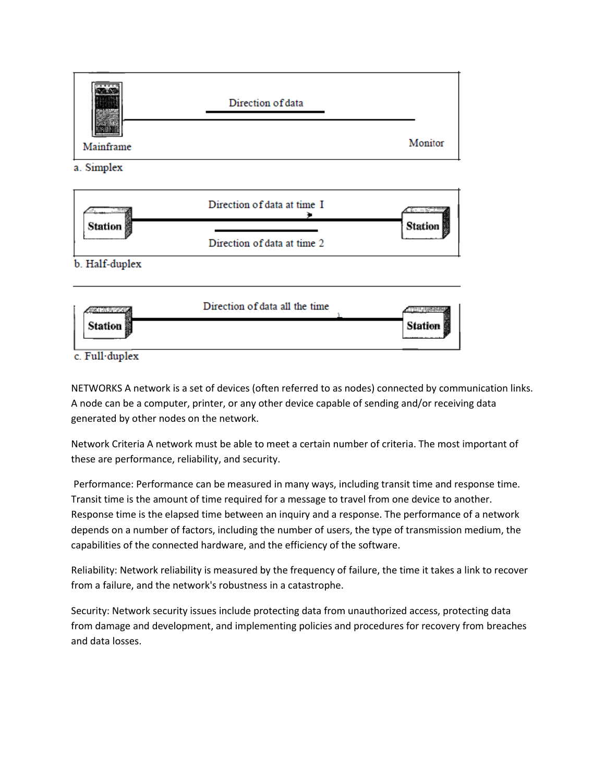

a. Simplex



Direction of data all the time Station Station

c. Full-duplex

NETWORKS A network is a set of devices (often referred to as nodes) connected by communication links. A node can be a computer, printer, or any other device capable of sending and/or receiving data generated by other nodes on the network.

Network Criteria A network must be able to meet a certain number of criteria. The most important of these are performance, reliability, and security.

Performance: Performance can be measured in many ways, including transit time and response time. Transit time is the amount of time required for a message to travel from one device to another. Response time is the elapsed time between an inquiry and a response. The performance of a network depends on a number of factors, including the number of users, the type of transmission medium, the capabilities of the connected hardware, and the efficiency of the software.

Reliability: Network reliability is measured by the frequency of failure, the time it takes a link to recover from a failure, and the network's robustness in a catastrophe.

Security: Network security issues include protecting data from unauthorized access, protecting data from damage and development, and implementing policies and procedures for recovery from breaches and data losses.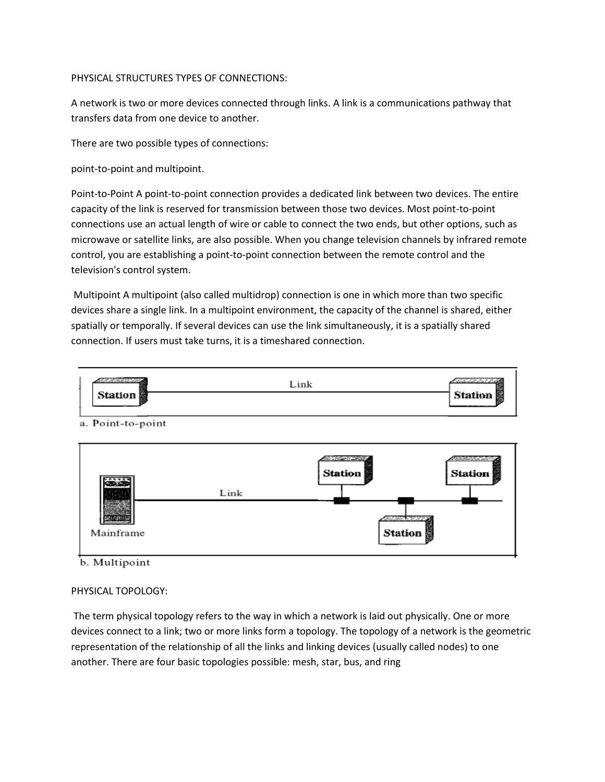### PHYSICAL STRUCTURES TYPES OF CONNECTIONS:

A network is two or more devices connected through links. A link is a communications pathway that transfers data from one device to another.

There are two possible types of connections:

point-to-point and multipoint.

Point-to-Point A point-to-point connection provides a dedicated link between two devices. The entire capacity of the link is reserved for transmission between those two devices. Most point-to-point connections use an actual length of wire or cable to connect the two ends, but other options, such as microwave or satellite links, are also possible. When you change television channels by infrared remote control, you are establishing a point-to-point connection between the remote control and the television's control system.

Multipoint A multipoint (also called multidrop) connection is one in which more than two specific devices share a single link. In a multipoint environment, the capacity of the channel is shared, either spatially or temporally. If several devices can use the link simultaneously, it is a spatially shared connection. If users must take turns, it is a timeshared connection.





a. Point-to-point

### b. Multipoint

### PHYSICAL TOPOLOGY:

The term physical topology refers to the way in which a network is laid out physically. One or more devices connect to a link; two or more links form a topology. The topology of a network is the geometric representation of the relationship of all the links and linking devices (usually called nodes) to one another. There are four basic topologies possible: mesh, star, bus, and ring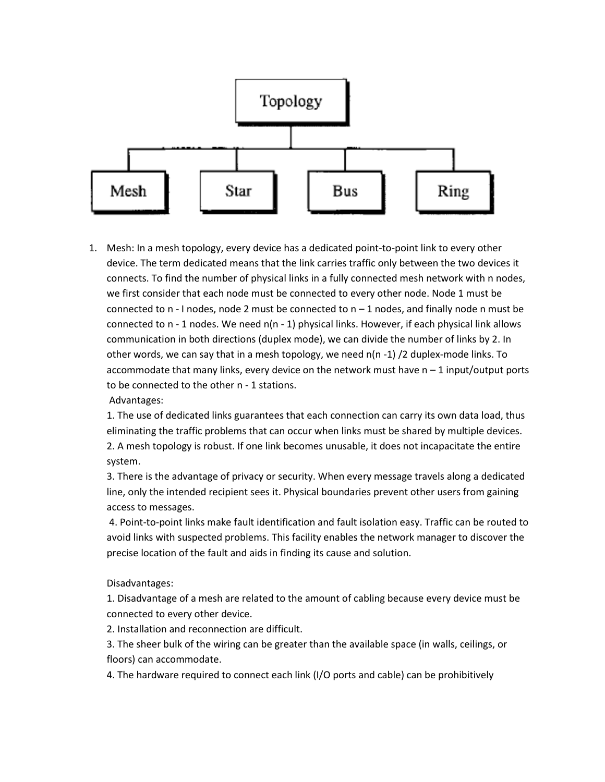

1. Mesh: In a mesh topology, every device has a dedicated point-to-point link to every other device. The term dedicated means that the link carries traffic only between the two devices it connects. To find the number of physical links in a fully connected mesh network with n nodes, we first consider that each node must be connected to every other node. Node 1 must be connected to  $n - 1$  nodes, node 2 must be connected to  $n - 1$  nodes, and finally node n must be connected to  $n - 1$  nodes. We need  $n(n - 1)$  physical links. However, if each physical link allows communication in both directions (duplex mode), we can divide the number of links by 2. In other words, we can say that in a mesh topology, we need n(n -1) /2 duplex-mode links. To accommodate that many links, every device on the network must have  $n - 1$  input/output ports to be connected to the other n - 1 stations.

#### Advantages:

1. The use of dedicated links guarantees that each connection can carry its own data load, thus eliminating the traffic problems that can occur when links must be shared by multiple devices. 2. A mesh topology is robust. If one link becomes unusable, it does not incapacitate the entire system.

3. There is the advantage of privacy or security. When every message travels along a dedicated line, only the intended recipient sees it. Physical boundaries prevent other users from gaining access to messages.

4. Point-to-point links make fault identification and fault isolation easy. Traffic can be routed to avoid links with suspected problems. This facility enables the network manager to discover the precise location of the fault and aids in finding its cause and solution.

#### Disadvantages:

1. Disadvantage of a mesh are related to the amount of cabling because every device must be connected to every other device.

2. Installation and reconnection are difficult.

3. The sheer bulk of the wiring can be greater than the available space (in walls, ceilings, or floors) can accommodate.

4. The hardware required to connect each link (I/O ports and cable) can be prohibitively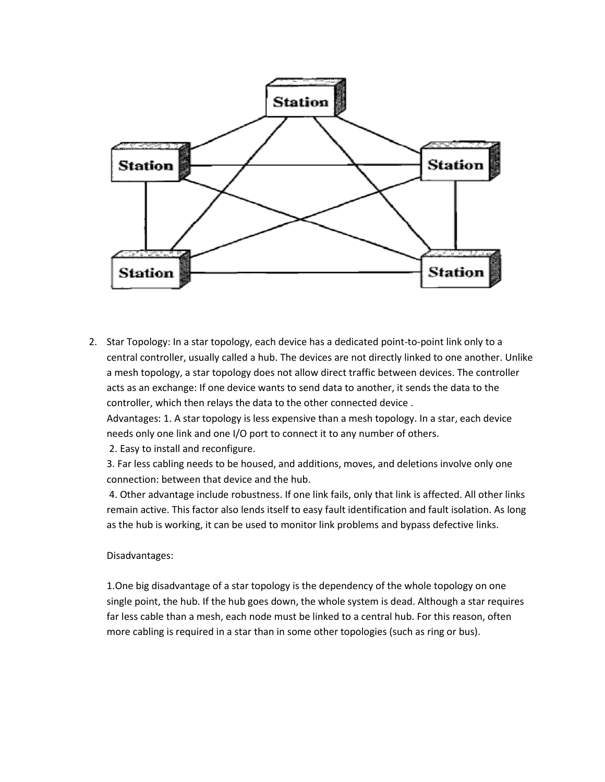

2. Star Topology: In a star topology, each device has a dedicated point-to-point link only to a central controller, usually called a hub. The devices are not directly linked to one another. Unlike a mesh topology, a star topology does not allow direct traffic between devices. The controller acts as an exchange: If one device wants to send data to another, it sends the data to the controller, which then relays the data to the other connected device .

Advantages: 1. A star topology is less expensive than a mesh topology. In a star, each device needs only one link and one I/O port to connect it to any number of others.

2. Easy to install and reconfigure.

3. Far less cabling needs to be housed, and additions, moves, and deletions involve only one connection: between that device and the hub.

4. Other advantage include robustness. If one link fails, only that link is affected. All other links remain active. This factor also lends itself to easy fault identification and fault isolation. As long as the hub is working, it can be used to monitor link problems and bypass defective links.

#### Disadvantages:

1.One big disadvantage of a star topology is the dependency of the whole topology on one single point, the hub. If the hub goes down, the whole system is dead. Although a star requires far less cable than a mesh, each node must be linked to a central hub. For this reason, often more cabling is required in a star than in some other topologies (such as ring or bus).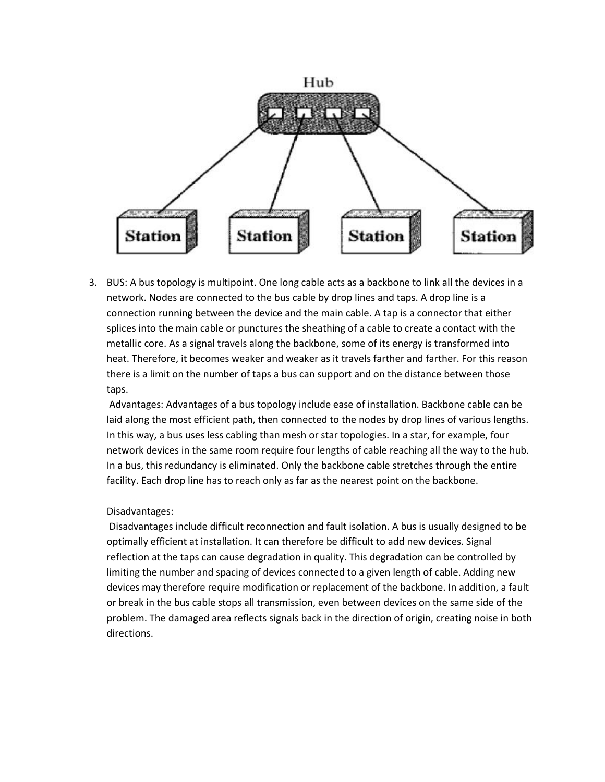

3. BUS: A bus topology is multipoint. One long cable acts as a backbone to link all the devices in a network. Nodes are connected to the bus cable by drop lines and taps. A drop line is a connection running between the device and the main cable. A tap is a connector that either splices into the main cable or punctures the sheathing of a cable to create a contact with the metallic core. As a signal travels along the backbone, some of its energy is transformed into heat. Therefore, it becomes weaker and weaker as it travels farther and farther. For this reason there is a limit on the number of taps a bus can support and on the distance between those taps.

Advantages: Advantages of a bus topology include ease of installation. Backbone cable can be laid along the most efficient path, then connected to the nodes by drop lines of various lengths. In this way, a bus uses less cabling than mesh or star topologies. In a star, for example, four network devices in the same room require four lengths of cable reaching all the way to the hub. In a bus, this redundancy is eliminated. Only the backbone cable stretches through the entire facility. Each drop line has to reach only as far as the nearest point on the backbone.

#### Disadvantages:

Disadvantages include difficult reconnection and fault isolation. A bus is usually designed to be optimally efficient at installation. It can therefore be difficult to add new devices. Signal reflection at the taps can cause degradation in quality. This degradation can be controlled by limiting the number and spacing of devices connected to a given length of cable. Adding new devices may therefore require modification or replacement of the backbone. In addition, a fault or break in the bus cable stops all transmission, even between devices on the same side of the problem. The damaged area reflects signals back in the direction of origin, creating noise in both directions.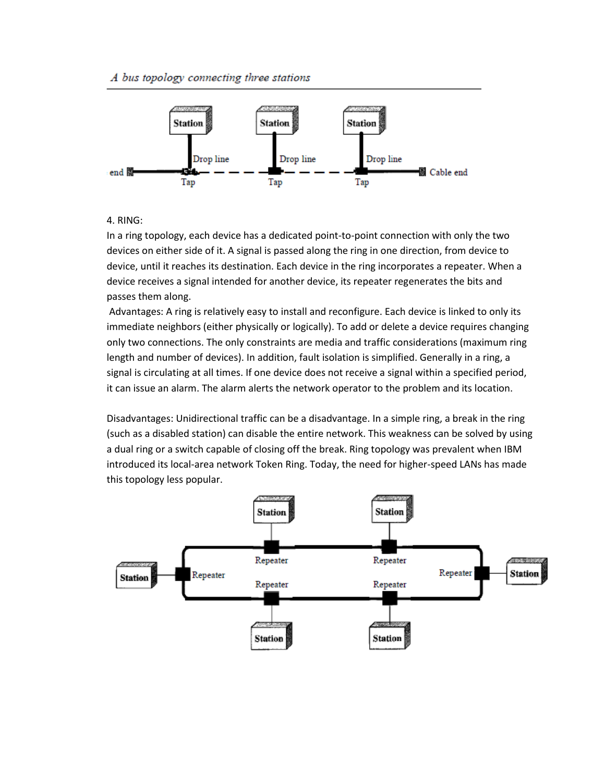

### 4. RING:

In a ring topology, each device has a dedicated point-to-point connection with only the two devices on either side of it. A signal is passed along the ring in one direction, from device to device, until it reaches its destination. Each device in the ring incorporates a repeater. When a device receives a signal intended for another device, its repeater regenerates the bits and passes them along.

Advantages: A ring is relatively easy to install and reconfigure. Each device is linked to only its immediate neighbors (either physically or logically). To add or delete a device requires changing only two connections. The only constraints are media and traffic considerations (maximum ring length and number of devices). In addition, fault isolation is simplified. Generally in a ring, a signal is circulating at all times. If one device does not receive a signal within a specified period, it can issue an alarm. The alarm alerts the network operator to the problem and its location.

Disadvantages: Unidirectional traffic can be a disadvantage. In a simple ring, a break in the ring (such as a disabled station) can disable the entire network. This weakness can be solved by using a dual ring or a switch capable of closing off the break. Ring topology was prevalent when IBM introduced its local-area network Token Ring. Today, the need for higher-speed LANs has made this topology less popular.

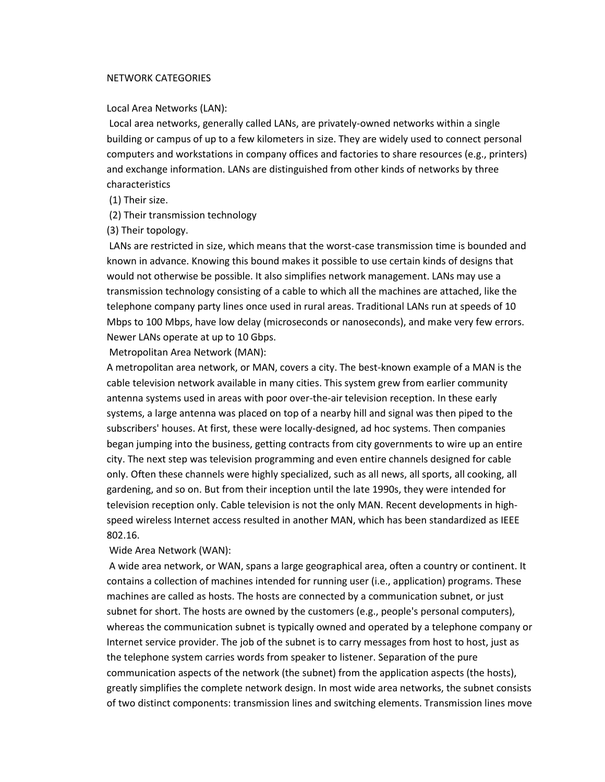#### NETWORK CATEGORIES

#### Local Area Networks (LAN):

Local area networks, generally called LANs, are privately-owned networks within a single building or campus of up to a few kilometers in size. They are widely used to connect personal computers and workstations in company offices and factories to share resources (e.g., printers) and exchange information. LANs are distinguished from other kinds of networks by three characteristics

(1) Their size.

(2) Their transmission technology

(3) Their topology.

LANs are restricted in size, which means that the worst-case transmission time is bounded and known in advance. Knowing this bound makes it possible to use certain kinds of designs that would not otherwise be possible. It also simplifies network management. LANs may use a transmission technology consisting of a cable to which all the machines are attached, like the telephone company party lines once used in rural areas. Traditional LANs run at speeds of 10 Mbps to 100 Mbps, have low delay (microseconds or nanoseconds), and make very few errors. Newer LANs operate at up to 10 Gbps.

Metropolitan Area Network (MAN):

A metropolitan area network, or MAN, covers a city. The best-known example of a MAN is the cable television network available in many cities. This system grew from earlier community antenna systems used in areas with poor over-the-air television reception. In these early systems, a large antenna was placed on top of a nearby hill and signal was then piped to the subscribers' houses. At first, these were locally-designed, ad hoc systems. Then companies began jumping into the business, getting contracts from city governments to wire up an entire city. The next step was television programming and even entire channels designed for cable only. Often these channels were highly specialized, such as all news, all sports, all cooking, all gardening, and so on. But from their inception until the late 1990s, they were intended for television reception only. Cable television is not the only MAN. Recent developments in highspeed wireless Internet access resulted in another MAN, which has been standardized as IEEE 802.16.

#### Wide Area Network (WAN):

A wide area network, or WAN, spans a large geographical area, often a country or continent. It contains a collection of machines intended for running user (i.e., application) programs. These machines are called as hosts. The hosts are connected by a communication subnet, or just subnet for short. The hosts are owned by the customers (e.g., people's personal computers), whereas the communication subnet is typically owned and operated by a telephone company or Internet service provider. The job of the subnet is to carry messages from host to host, just as the telephone system carries words from speaker to listener. Separation of the pure communication aspects of the network (the subnet) from the application aspects (the hosts), greatly simplifies the complete network design. In most wide area networks, the subnet consists of two distinct components: transmission lines and switching elements. Transmission lines move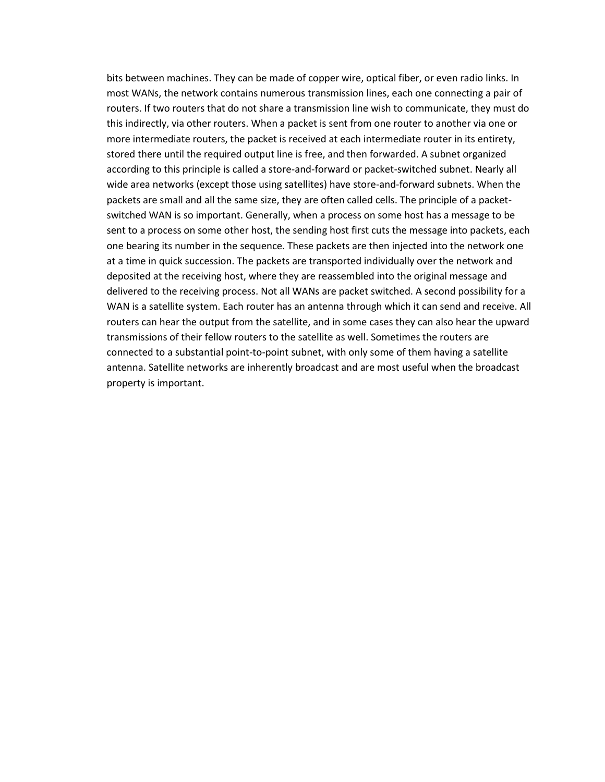bits between machines. They can be made of copper wire, optical fiber, or even radio links. In most WANs, the network contains numerous transmission lines, each one connecting a pair of routers. If two routers that do not share a transmission line wish to communicate, they must do this indirectly, via other routers. When a packet is sent from one router to another via one or more intermediate routers, the packet is received at each intermediate router in its entirety, stored there until the required output line is free, and then forwarded. A subnet organized according to this principle is called a store-and-forward or packet-switched subnet. Nearly all wide area networks (except those using satellites) have store-and-forward subnets. When the packets are small and all the same size, they are often called cells. The principle of a packetswitched WAN is so important. Generally, when a process on some host has a message to be sent to a process on some other host, the sending host first cuts the message into packets, each one bearing its number in the sequence. These packets are then injected into the network one at a time in quick succession. The packets are transported individually over the network and deposited at the receiving host, where they are reassembled into the original message and delivered to the receiving process. Not all WANs are packet switched. A second possibility for a WAN is a satellite system. Each router has an antenna through which it can send and receive. All routers can hear the output from the satellite, and in some cases they can also hear the upward transmissions of their fellow routers to the satellite as well. Sometimes the routers are connected to a substantial point-to-point subnet, with only some of them having a satellite antenna. Satellite networks are inherently broadcast and are most useful when the broadcast property is important.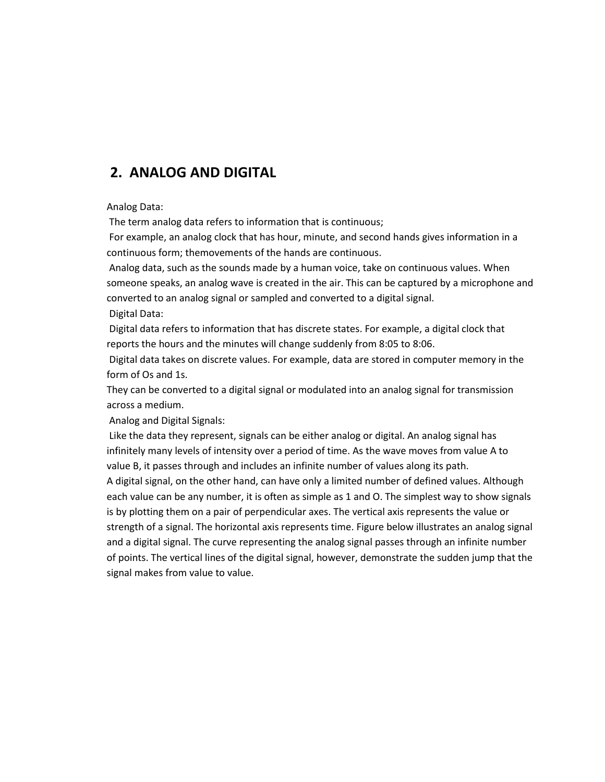## **2. ANALOG AND DIGITAL**

### Analog Data:

The term analog data refers to information that is continuous;

For example, an analog clock that has hour, minute, and second hands gives information in a continuous form; themovements of the hands are continuous.

Analog data, such as the sounds made by a human voice, take on continuous values. When someone speaks, an analog wave is created in the air. This can be captured by a microphone and converted to an analog signal or sampled and converted to a digital signal. Digital Data:

Digital data refers to information that has discrete states. For example, a digital clock that reports the hours and the minutes will change suddenly from 8:05 to 8:06.

Digital data takes on discrete values. For example, data are stored in computer memory in the form of Os and 1s.

They can be converted to a digital signal or modulated into an analog signal for transmission across a medium.

Analog and Digital Signals:

Like the data they represent, signals can be either analog or digital. An analog signal has infinitely many levels of intensity over a period of time. As the wave moves from value A to value B, it passes through and includes an infinite number of values along its path. A digital signal, on the other hand, can have only a limited number of defined values. Although each value can be any number, it is often as simple as 1 and O. The simplest way to show signals is by plotting them on a pair of perpendicular axes. The vertical axis represents the value or strength of a signal. The horizontal axis represents time. Figure below illustrates an analog signal and a digital signal. The curve representing the analog signal passes through an infinite number of points. The vertical lines of the digital signal, however, demonstrate the sudden jump that the signal makes from value to value.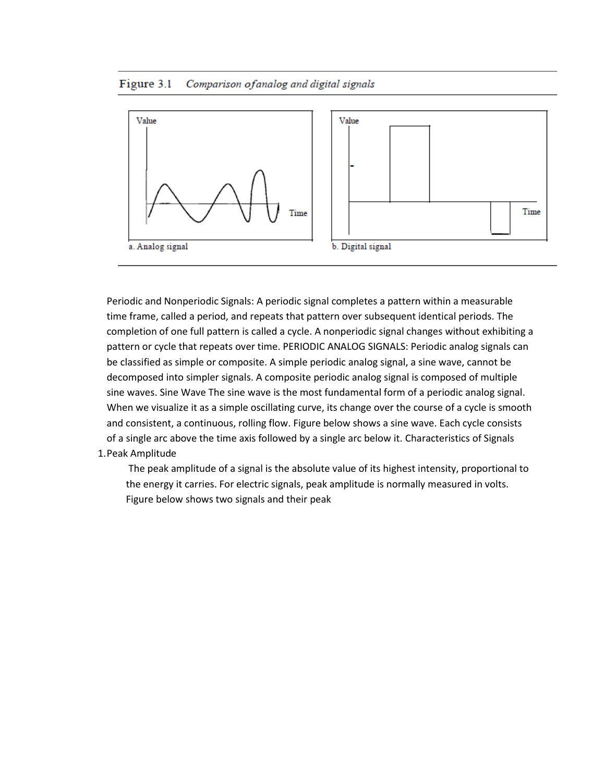#### Figure 3.1 Comparison of analog and digital signals



Periodic and Nonperiodic Signals: A periodic signal completes a pattern within a measurable time frame, called a period, and repeats that pattern over subsequent identical periods. The completion of one full pattern is called a cycle. A nonperiodic signal changes without exhibiting a pattern or cycle that repeats over time. PERIODIC ANALOG SIGNALS: Periodic analog signals can be classified as simple or composite. A simple periodic analog signal, a sine wave, cannot be decomposed into simpler signals. A composite periodic analog signal is composed of multiple sine waves. Sine Wave The sine wave is the most fundamental form of a periodic analog signal. When we visualize it as a simple oscillating curve, its change over the course of a cycle is smooth and consistent, a continuous, rolling flow. Figure below shows a sine wave. Each cycle consists of a single arc above the time axis followed by a single arc below it. Characteristics of Signals 1.Peak Amplitude

The peak amplitude of a signal is the absolute value of its highest intensity, proportional to the energy it carries. For electric signals, peak amplitude is normally measured in volts. Figure below shows two signals and their peak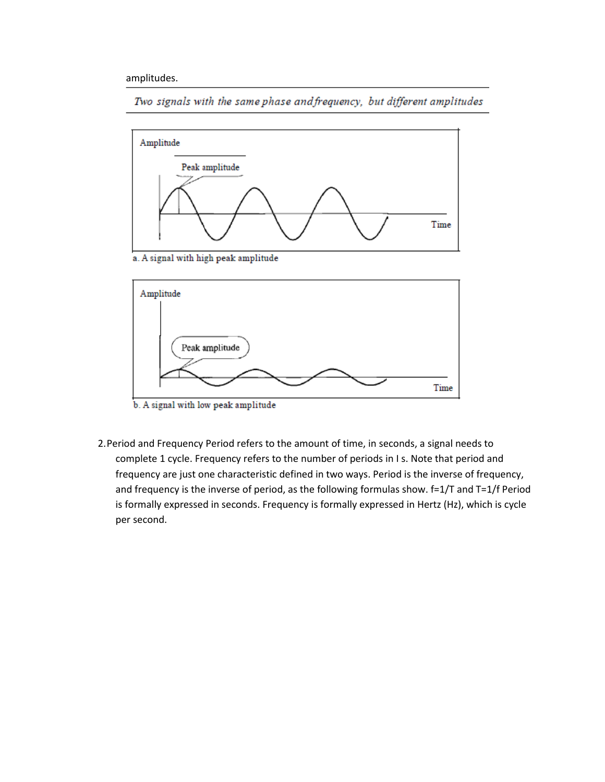amplitudes.

Two signals with the same phase and frequency, but different amplitudes



a. A signal with high peak amplitude



2.Period and Frequency Period refers to the amount of time, in seconds, a signal needs to complete 1 cycle. Frequency refers to the number of periods in I s. Note that period and frequency are just one characteristic defined in two ways. Period is the inverse of frequency, and frequency is the inverse of period, as the following formulas show. f=1/T and T=1/f Period is formally expressed in seconds. Frequency is formally expressed in Hertz (Hz), which is cycle per second.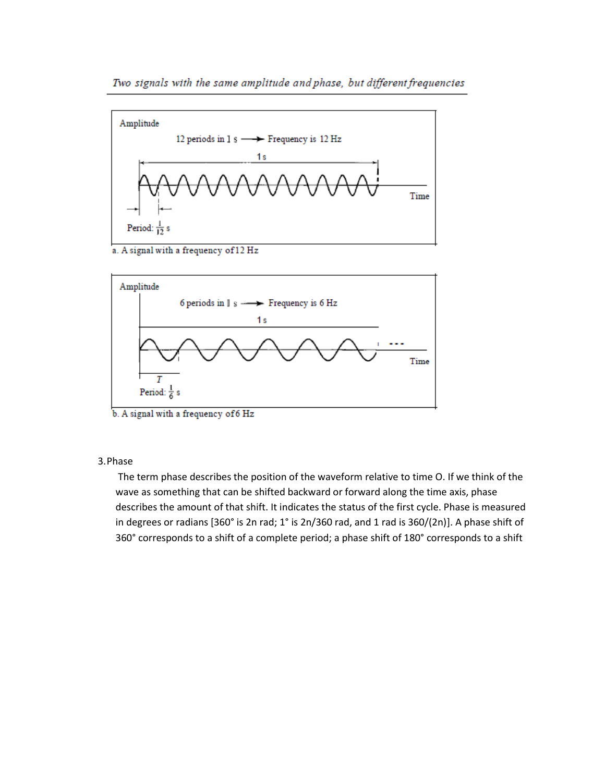

a. A signal with a frequency of 12 Hz



b. A signal with a frequency of 6 Hz

#### 3.Phase

The term phase describes the position of the waveform relative to time O. If we think of the wave as something that can be shifted backward or forward along the time axis, phase describes the amount of that shift. It indicates the status of the first cycle. Phase is measured in degrees or radians [360° is 2n rad; 1° is 2n/360 rad, and 1 rad is 360/(2n)]. A phase shift of 360° corresponds to a shift of a complete period; a phase shift of 180° corresponds to a shift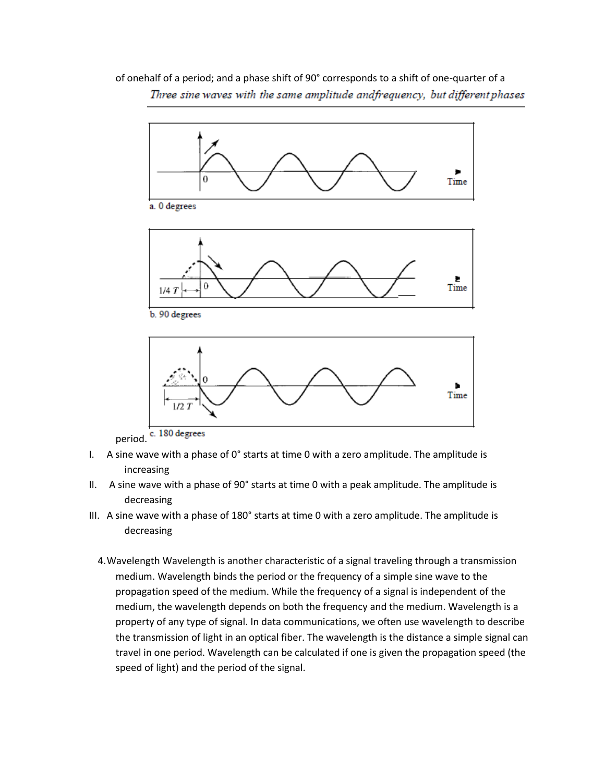of onehalf of a period; and a phase shift of 90° corresponds to a shift of one-quarter of a Three sine waves with the same amplitude andfrequency, but different phases



period. c. 180 degrees

- I. A sine wave with a phase of  $0^\circ$  starts at time 0 with a zero amplitude. The amplitude is increasing
- II. A sine wave with a phase of 90° starts at time 0 with a peak amplitude. The amplitude is decreasing
- III. A sine wave with a phase of 180° starts at time 0 with a zero amplitude. The amplitude is decreasing
	- 4.Wavelength Wavelength is another characteristic of a signal traveling through a transmission medium. Wavelength binds the period or the frequency of a simple sine wave to the propagation speed of the medium. While the frequency of a signal is independent of the medium, the wavelength depends on both the frequency and the medium. Wavelength is a property of any type of signal. In data communications, we often use wavelength to describe the transmission of light in an optical fiber. The wavelength is the distance a simple signal can travel in one period. Wavelength can be calculated if one is given the propagation speed (the speed of light) and the period of the signal.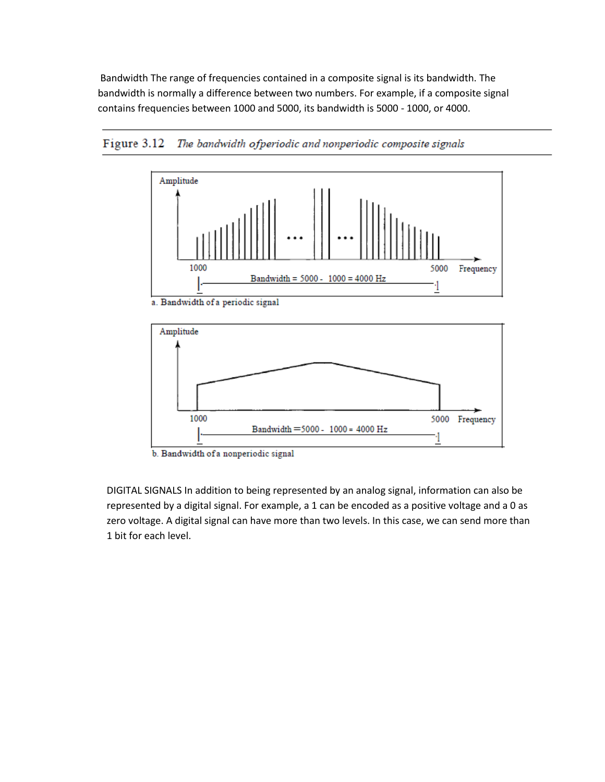Bandwidth The range of frequencies contained in a composite signal is its bandwidth. The bandwidth is normally a difference between two numbers. For example, if a composite signal contains frequencies between 1000 and 5000, its bandwidth is 5000 - 1000, or 4000.





a. Bandwidth of a periodic signal



b. Bandwidth of a nonperiodic signal

DIGITAL SIGNALS In addition to being represented by an analog signal, information can also be represented by a digital signal. For example, a 1 can be encoded as a positive voltage and a 0 as zero voltage. A digital signal can have more than two levels. In this case, we can send more than 1 bit for each level.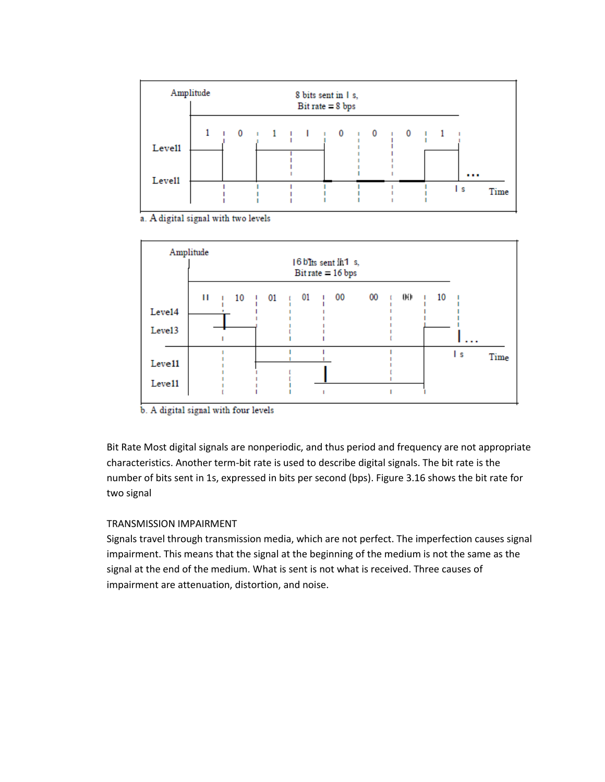

a. A digital signal with two levels



b. A digital signal with four levels

Bit Rate Most digital signals are nonperiodic, and thus period and frequency are not appropriate characteristics. Another term-bit rate is used to describe digital signals. The bit rate is the number of bits sent in 1s, expressed in bits per second (bps). Figure 3.16 shows the bit rate for two signal

### TRANSMISSION IMPAIRMENT

Signals travel through transmission media, which are not perfect. The imperfection causes signal impairment. This means that the signal at the beginning of the medium is not the same as the signal at the end of the medium. What is sent is not what is received. Three causes of impairment are attenuation, distortion, and noise.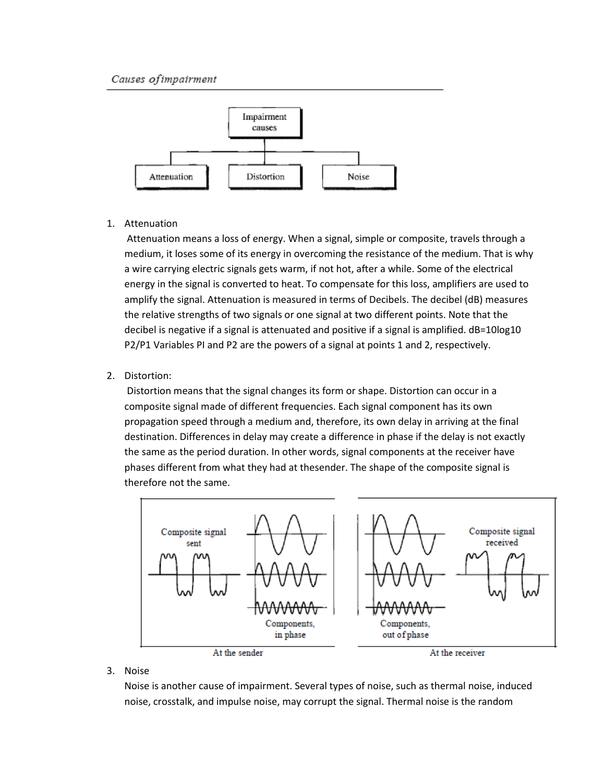### Causes of impairment



### 1. Attenuation

Attenuation means a loss of energy. When a signal, simple or composite, travels through a medium, it loses some of its energy in overcoming the resistance of the medium. That is why a wire carrying electric signals gets warm, if not hot, after a while. Some of the electrical energy in the signal is converted to heat. To compensate for this loss, amplifiers are used to amplify the signal. Attenuation is measured in terms of Decibels. The decibel (dB) measures the relative strengths of two signals or one signal at two different points. Note that the decibel is negative if a signal is attenuated and positive if a signal is amplified. dB=10log10 P2/P1 Variables PI and P2 are the powers of a signal at points 1 and 2, respectively.

2. Distortion:

Distortion means that the signal changes its form or shape. Distortion can occur in a composite signal made of different frequencies. Each signal component has its own propagation speed through a medium and, therefore, its own delay in arriving at the final destination. Differences in delay may create a difference in phase if the delay is not exactly the same as the period duration. In other words, signal components at the receiver have phases different from what they had at thesender. The shape of the composite signal is therefore not the same.



3. Noise

Noise is another cause of impairment. Several types of noise, such as thermal noise, induced noise, crosstalk, and impulse noise, may corrupt the signal. Thermal noise is the random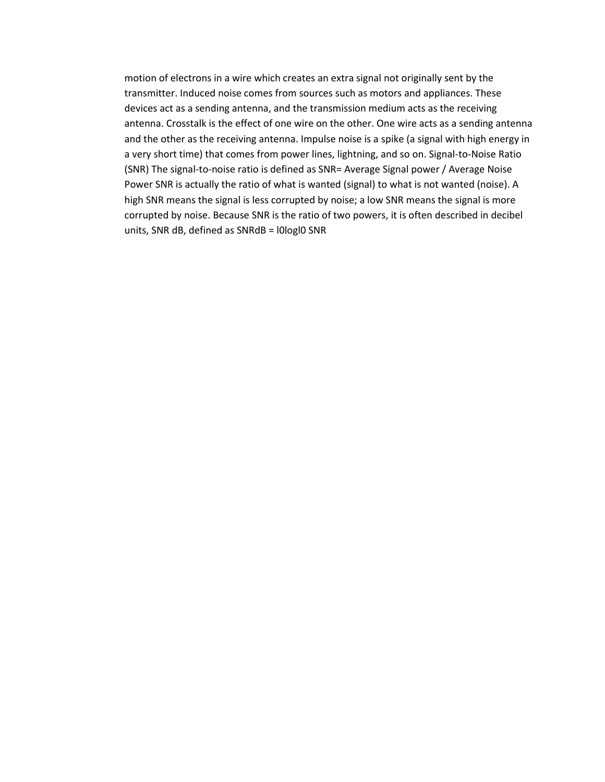motion of electrons in a wire which creates an extra signal not originally sent by the transmitter. Induced noise comes from sources such as motors and appliances. These devices act as a sending antenna, and the transmission medium acts as the receiving antenna. Crosstalk is the effect of one wire on the other. One wire acts as a sending antenna and the other as the receiving antenna. Impulse noise is a spike (a signal with high energy in a very short time) that comes from power lines, lightning, and so on. Signal-to-Noise Ratio (SNR) The signal-to-noise ratio is defined as SNR= Average Signal power / Average Noise Power SNR is actually the ratio of what is wanted (signal) to what is not wanted (noise). A high SNR means the signal is less corrupted by noise; a low SNR means the signal is more corrupted by noise. Because SNR is the ratio of two powers, it is often described in decibel units, SNR dB, defined as SNRdB = l0logl0 SNR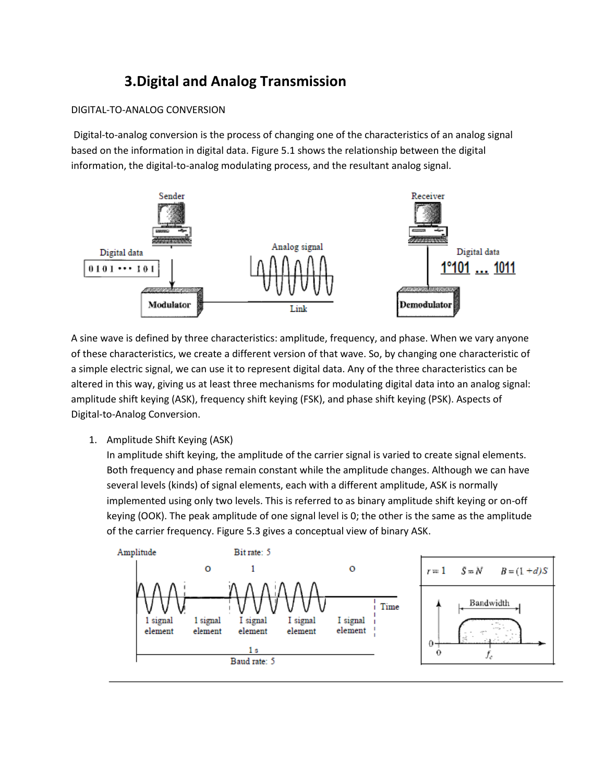## **3.Digital and Analog Transmission**

### DIGITAL-TO-ANALOG CONVERSION

Digital-to-analog conversion is the process of changing one of the characteristics of an analog signal based on the information in digital data. Figure 5.1 shows the relationship between the digital information, the digital-to-analog modulating process, and the resultant analog signal.



A sine wave is defined by three characteristics: amplitude, frequency, and phase. When we vary anyone of these characteristics, we create a different version of that wave. So, by changing one characteristic of a simple electric signal, we can use it to represent digital data. Any of the three characteristics can be altered in this way, giving us at least three mechanisms for modulating digital data into an analog signal: amplitude shift keying (ASK), frequency shift keying (FSK), and phase shift keying (PSK). Aspects of Digital-to-Analog Conversion.

1. Amplitude Shift Keying (ASK)

In amplitude shift keying, the amplitude of the carrier signal is varied to create signal elements. Both frequency and phase remain constant while the amplitude changes. Although we can have several levels (kinds) of signal elements, each with a different amplitude, ASK is normally implemented using only two levels. This is referred to as binary amplitude shift keying or on-off keying (OOK). The peak amplitude of one signal level is 0; the other is the same as the amplitude of the carrier frequency. Figure 5.3 gives a conceptual view of binary ASK.

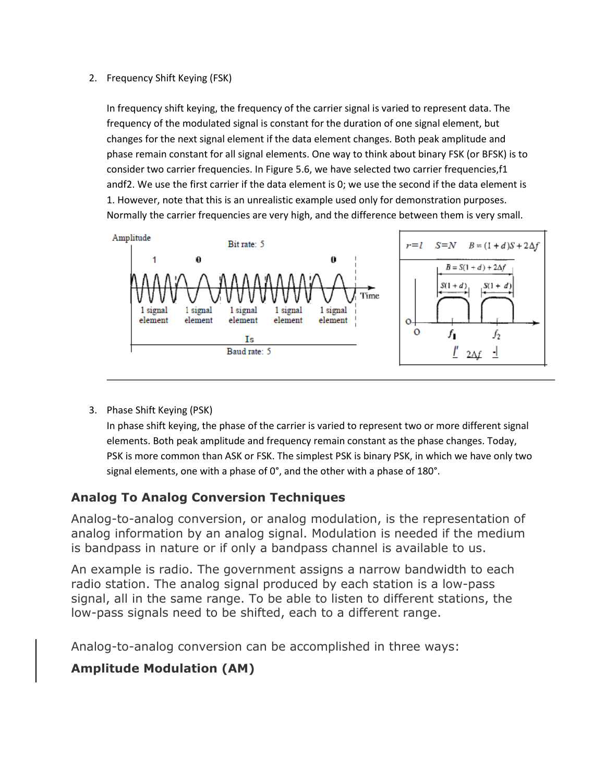### 2. Frequency Shift Keying (FSK)

In frequency shift keying, the frequency of the carrier signal is varied to represent data. The frequency of the modulated signal is constant for the duration of one signal element, but changes for the next signal element if the data element changes. Both peak amplitude and phase remain constant for all signal elements. One way to think about binary FSK (or BFSK) is to consider two carrier frequencies. In Figure 5.6, we have selected two carrier frequencies,f1 andf2. We use the first carrier if the data element is 0; we use the second if the data element is 1. However, note that this is an unrealistic example used only for demonstration purposes. Normally the carrier frequencies are very high, and the difference between them is very small.



3. Phase Shift Keying (PSK)

In phase shift keying, the phase of the carrier is varied to represent two or more different signal elements. Both peak amplitude and frequency remain constant as the phase changes. Today, PSK is more common than ASK or FSK. The simplest PSK is binary PSK, in which we have only two signal elements, one with a phase of 0°, and the other with a phase of 180°.

### **Analog To Analog Conversion Techniques**

Analog-to-analog conversion, or analog modulation, is the representation of analog information by an analog signal. Modulation is needed if the medium is bandpass in nature or if only a bandpass channel is available to us.

An example is radio. The government assigns a narrow bandwidth to each radio station. The analog signal produced by each station is a low-pass signal, all in the same range. To be able to listen to different stations, the low-pass signals need to be shifted, each to a different range.

Analog-to-analog conversion can be accomplished in three ways:

### **Amplitude Modulation (AM)**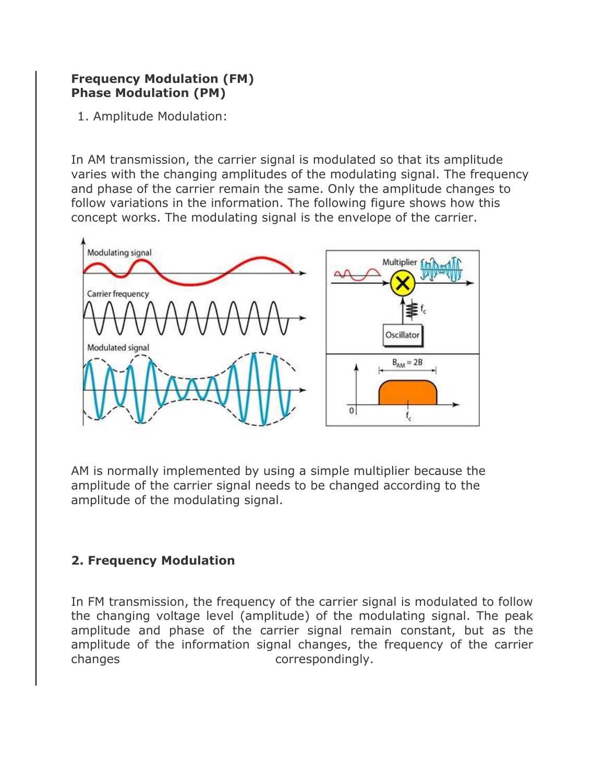### **Frequency Modulation (FM) Phase Modulation (PM)**

1. Amplitude Modulation:

In AM transmission, the carrier signal is modulated so that its amplitude varies with the changing amplitudes of the modulating signal. The frequency and phase of the carrier remain the same. Only the amplitude changes to follow variations in the information. The following figure shows how this concept works. The modulating signal is the envelope of the carrier.



AM is normally implemented by using a simple multiplier because the amplitude of the carrier signal needs to be changed according to the amplitude of the modulating signal.

### **2. Frequency Modulation**

In FM transmission, the frequency of the carrier signal is modulated to follow the changing voltage level (amplitude) of the modulating signal. The peak amplitude and phase of the carrier signal remain constant, but as the amplitude of the information signal changes, the frequency of the carrier changes correspondingly.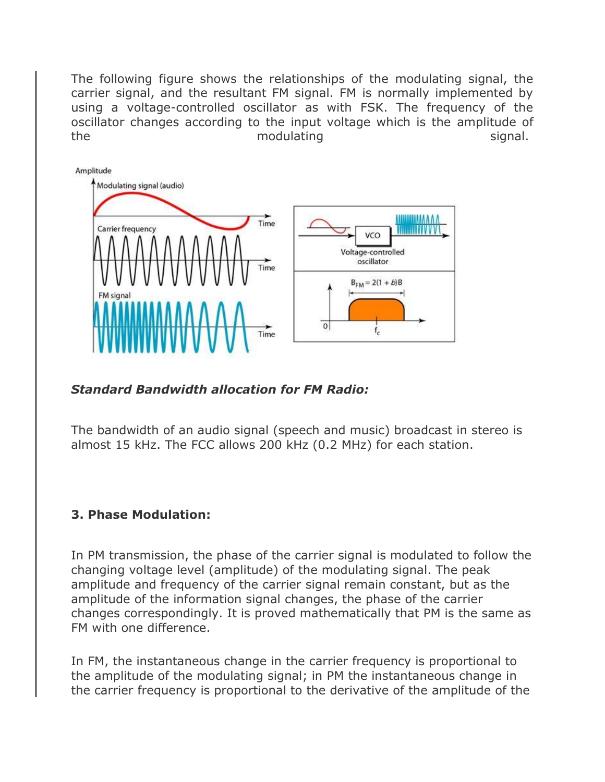The following figure shows the relationships of the modulating signal, the carrier signal, and the resultant FM signal. FM is normally implemented by using a voltage-controlled oscillator as with FSK. The frequency of the oscillator changes according to the input voltage which is the amplitude of the signal. The modulating signal.



### *Standard Bandwidth allocation for FM Radio:*

The bandwidth of an audio signal (speech and music) broadcast in stereo is almost 15 kHz. The FCC allows 200 kHz (0.2 MHz) for each station.

### **3. Phase Modulation:**

In PM transmission, the phase of the carrier signal is modulated to follow the changing voltage level (amplitude) of the modulating signal. The peak amplitude and frequency of the carrier signal remain constant, but as the amplitude of the information signal changes, the phase of the carrier changes correspondingly. It is proved mathematically that PM is the same as FM with one difference.

In FM, the instantaneous change in the carrier frequency is proportional to the amplitude of the modulating signal; in PM the instantaneous change in the carrier frequency is proportional to the derivative of the amplitude of the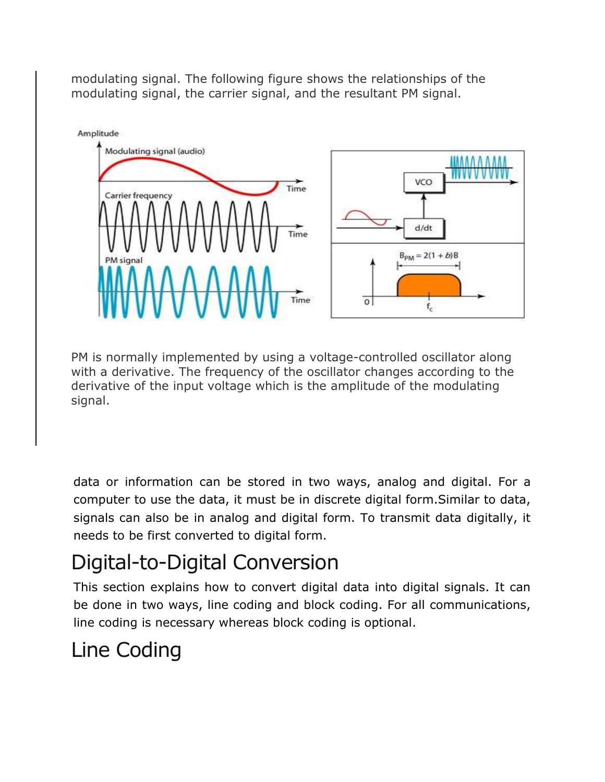modulating signal. The following figure shows the relationships of the modulating signal, the carrier signal, and the resultant PM signal.



PM is normally implemented by using a voltage-controlled oscillator along with a derivative. The frequency of the oscillator changes according to the derivative of the input voltage which is the amplitude of the modulating signal.

data or information can be stored in two ways, analog and digital. For a computer to use the data, it must be in discrete digital form.Similar to data, signals can also be in analog and digital form. To transmit data digitally, it needs to be first converted to digital form.

# Digital-to-Digital Conversion

This section explains how to convert digital data into digital signals. It can be done in two ways, line coding and block coding. For all communications, line coding is necessary whereas block coding is optional.

# Line Coding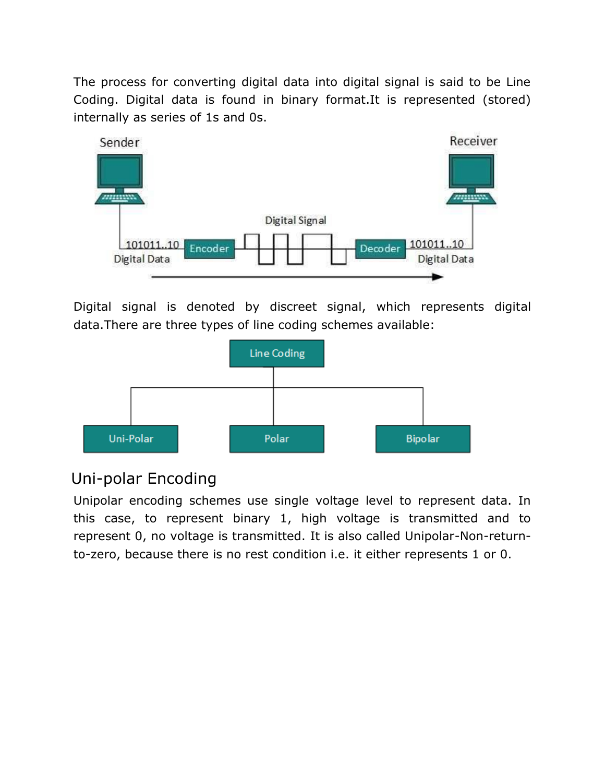The process for converting digital data into digital signal is said to be Line Coding. Digital data is found in binary format.It is represented (stored) internally as series of 1s and 0s.



Digital signal is denoted by discreet signal, which represents digital data.There are three types of line coding schemes available:



## Uni-polar Encoding

Unipolar encoding schemes use single voltage level to represent data. In this case, to represent binary 1, high voltage is transmitted and to represent 0, no voltage is transmitted. It is also called Unipolar-Non-returnto-zero, because there is no rest condition i.e. it either represents 1 or 0.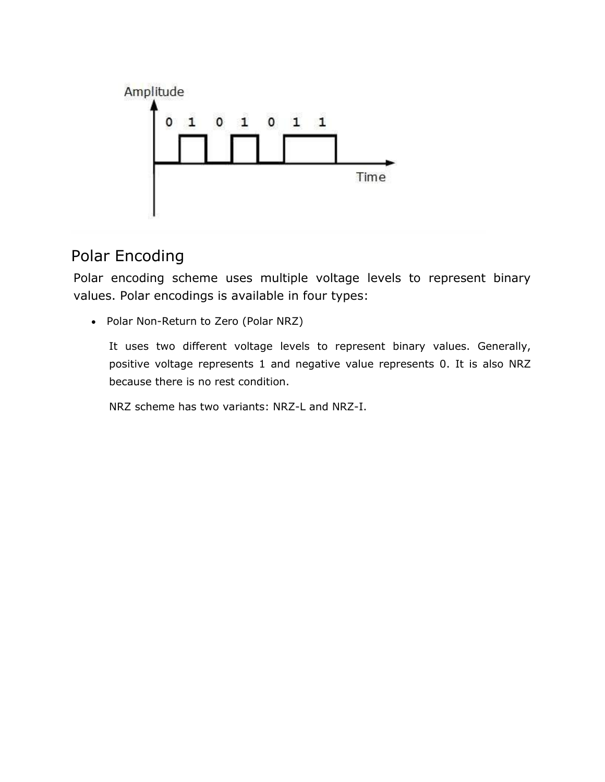

# Polar Encoding

Polar encoding scheme uses multiple voltage levels to represent binary values. Polar encodings is available in four types:

• Polar Non-Return to Zero (Polar NRZ)

It uses two different voltage levels to represent binary values. Generally, positive voltage represents 1 and negative value represents 0. It is also NRZ because there is no rest condition.

NRZ scheme has two variants: NRZ-L and NRZ-I.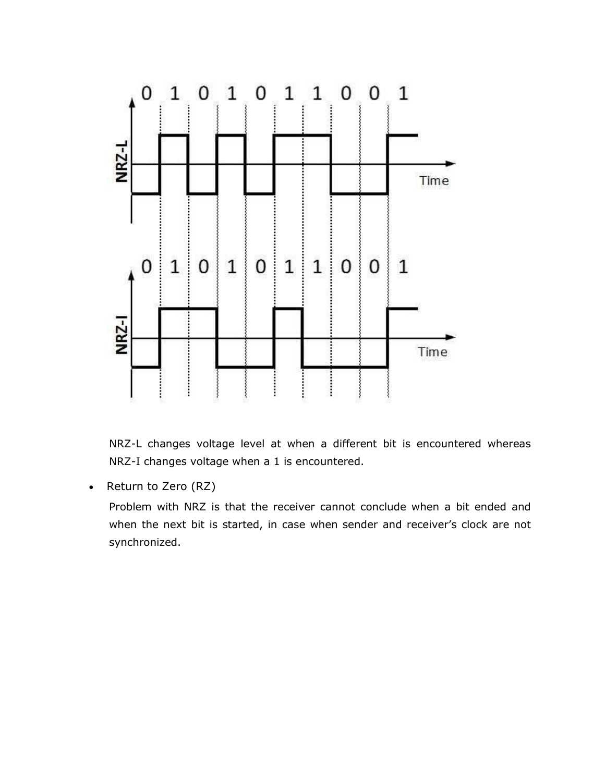

NRZ-L changes voltage level at when a different bit is encountered whereas NRZ-I changes voltage when a 1 is encountered.

• Return to Zero (RZ)

Problem with NRZ is that the receiver cannot conclude when a bit ended and when the next bit is started, in case when sender and receiver's clock are not synchronized.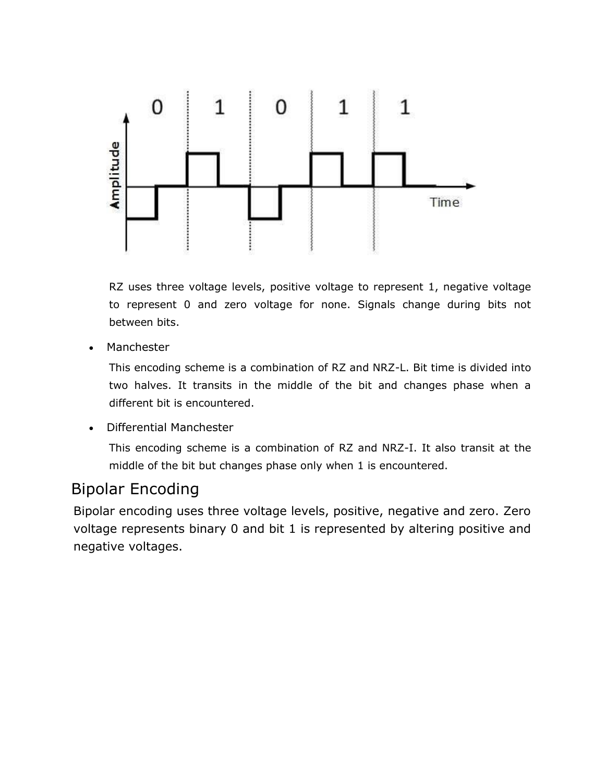

RZ uses three voltage levels, positive voltage to represent 1, negative voltage to represent 0 and zero voltage for none. Signals change during bits not between bits.

• Manchester

This encoding scheme is a combination of RZ and NRZ-L. Bit time is divided into two halves. It transits in the middle of the bit and changes phase when a different bit is encountered.

• Differential Manchester

This encoding scheme is a combination of RZ and NRZ-I. It also transit at the middle of the bit but changes phase only when 1 is encountered.

## Bipolar Encoding

Bipolar encoding uses three voltage levels, positive, negative and zero. Zero voltage represents binary 0 and bit 1 is represented by altering positive and negative voltages.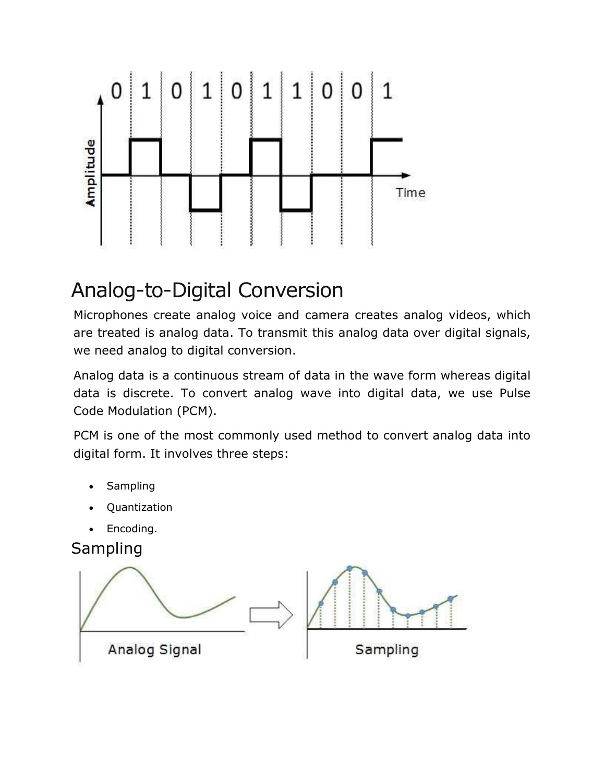

# Analog-to-Digital Conversion

Microphones create analog voice and camera creates analog videos, which are treated is analog data. To transmit this analog data over digital signals, we need analog to digital conversion.

Analog data is a continuous stream of data in the wave form whereas digital data is discrete. To convert analog wave into digital data, we use Pulse Code Modulation (PCM).

PCM is one of the most commonly used method to convert analog data into digital form. It involves three steps:

- Sampling
- Quantization
- Encoding.

Sampling

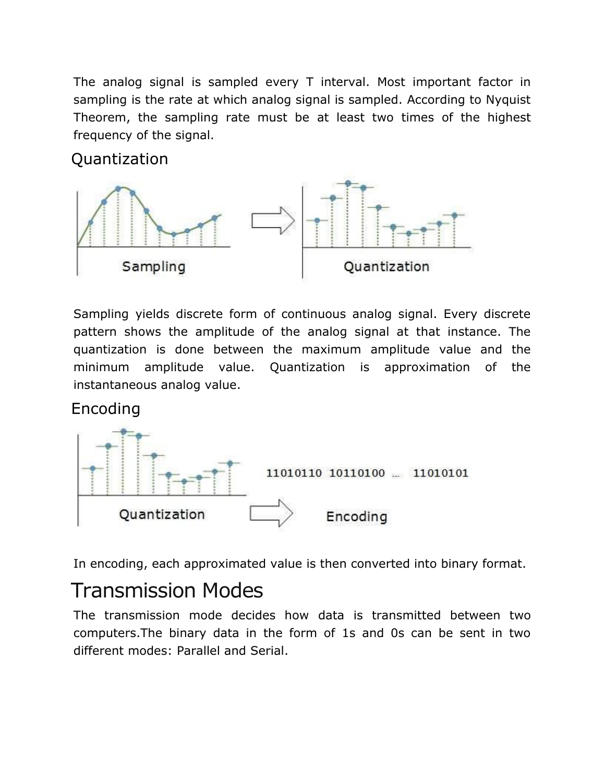The analog signal is sampled every T interval. Most important factor in sampling is the rate at which analog signal is sampled. According to Nyquist Theorem, the sampling rate must be at least two times of the highest frequency of the signal.

# Quantization



Sampling yields discrete form of continuous analog signal. Every discrete pattern shows the amplitude of the analog signal at that instance. The quantization is done between the maximum amplitude value and the minimum amplitude value. Quantization is approximation of the instantaneous analog value.

## Encoding



In encoding, each approximated value is then converted into binary format.

# Transmission Modes

The transmission mode decides how data is transmitted between two computers.The binary data in the form of 1s and 0s can be sent in two different modes: Parallel and Serial.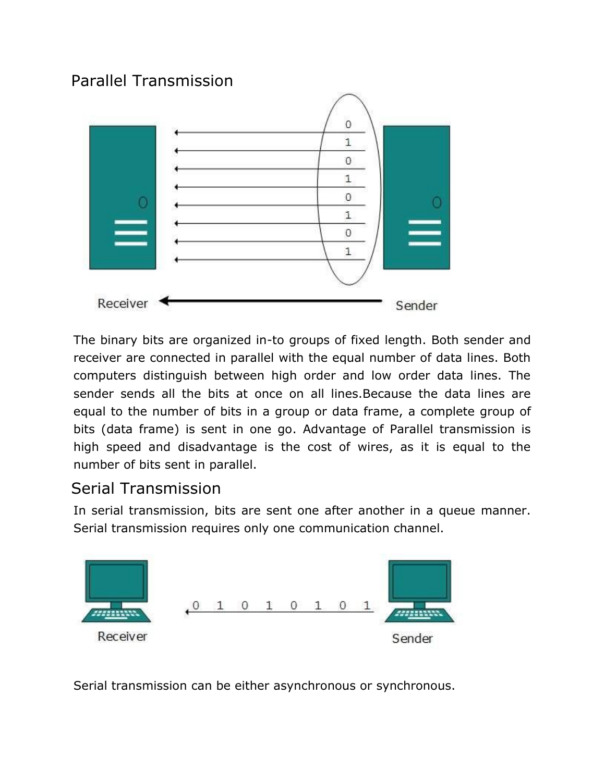# Parallel Transmission



The binary bits are organized in-to groups of fixed length. Both sender and receiver are connected in parallel with the equal number of data lines. Both computers distinguish between high order and low order data lines. The sender sends all the bits at once on all lines.Because the data lines are equal to the number of bits in a group or data frame, a complete group of bits (data frame) is sent in one go. Advantage of Parallel transmission is high speed and disadvantage is the cost of wires, as it is equal to the number of bits sent in parallel.

# Serial Transmission

In serial transmission, bits are sent one after another in a queue manner. Serial transmission requires only one communication channel.



Serial transmission can be either asynchronous or synchronous.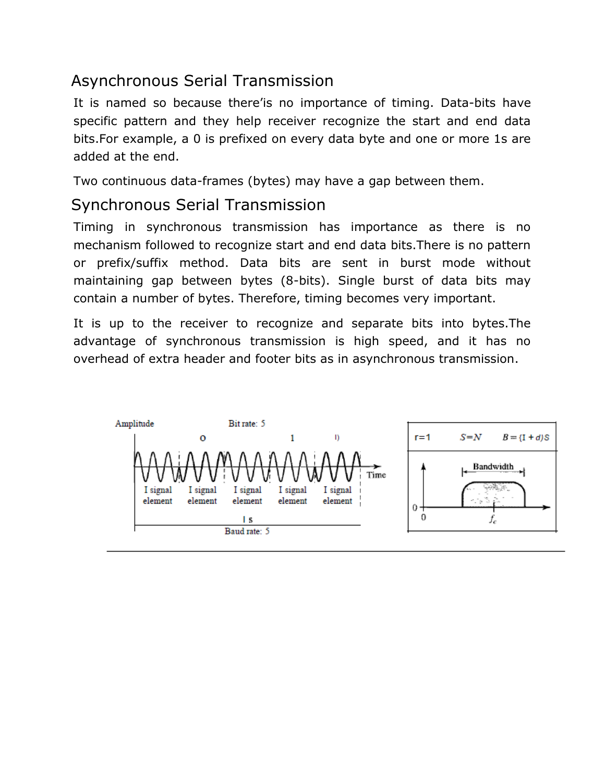# Asynchronous Serial Transmission

It is named so because there'is no importance of timing. Data-bits have specific pattern and they help receiver recognize the start and end data bits.For example, a 0 is prefixed on every data byte and one or more 1s are added at the end.

Two continuous data-frames (bytes) may have a gap between them.

# Synchronous Serial Transmission

Timing in synchronous transmission has importance as there is no mechanism followed to recognize start and end data bits.There is no pattern or prefix/suffix method. Data bits are sent in burst mode without maintaining gap between bytes (8-bits). Single burst of data bits may contain a number of bytes. Therefore, timing becomes very important.

It is up to the receiver to recognize and separate bits into bytes.The advantage of synchronous transmission is high speed, and it has no overhead of extra header and footer bits as in asynchronous transmission.

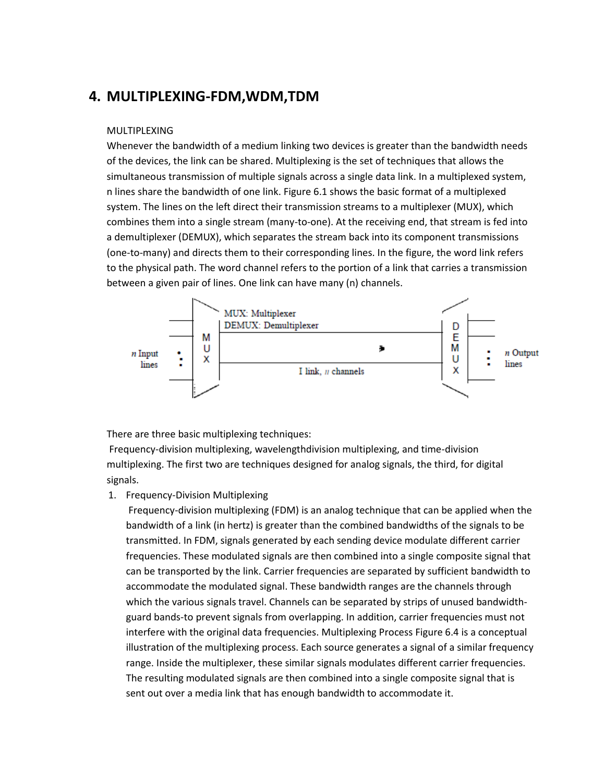### **4. MULTIPLEXING-FDM,WDM,TDM**

### MULTIPLEXING

Whenever the bandwidth of a medium linking two devices is greater than the bandwidth needs of the devices, the link can be shared. Multiplexing is the set of techniques that allows the simultaneous transmission of multiple signals across a single data link. In a multiplexed system, n lines share the bandwidth of one link. Figure 6.1 shows the basic format of a multiplexed system. The lines on the left direct their transmission streams to a multiplexer (MUX), which combines them into a single stream (many-to-one). At the receiving end, that stream is fed into a demultiplexer (DEMUX), which separates the stream back into its component transmissions (one-to-many) and directs them to their corresponding lines. In the figure, the word link refers to the physical path. The word channel refers to the portion of a link that carries a transmission between a given pair of lines. One link can have many (n) channels.



There are three basic multiplexing techniques:

Frequency-division multiplexing, wavelengthdivision multiplexing, and time-division multiplexing. The first two are techniques designed for analog signals, the third, for digital signals.

1. Frequency-Division Multiplexing

Frequency-division multiplexing (FDM) is an analog technique that can be applied when the bandwidth of a link (in hertz) is greater than the combined bandwidths of the signals to be transmitted. In FDM, signals generated by each sending device modulate different carrier frequencies. These modulated signals are then combined into a single composite signal that can be transported by the link. Carrier frequencies are separated by sufficient bandwidth to accommodate the modulated signal. These bandwidth ranges are the channels through which the various signals travel. Channels can be separated by strips of unused bandwidthguard bands-to prevent signals from overlapping. In addition, carrier frequencies must not interfere with the original data frequencies. Multiplexing Process Figure 6.4 is a conceptual illustration of the multiplexing process. Each source generates a signal of a similar frequency range. Inside the multiplexer, these similar signals modulates different carrier frequencies. The resulting modulated signals are then combined into a single composite signal that is sent out over a media link that has enough bandwidth to accommodate it.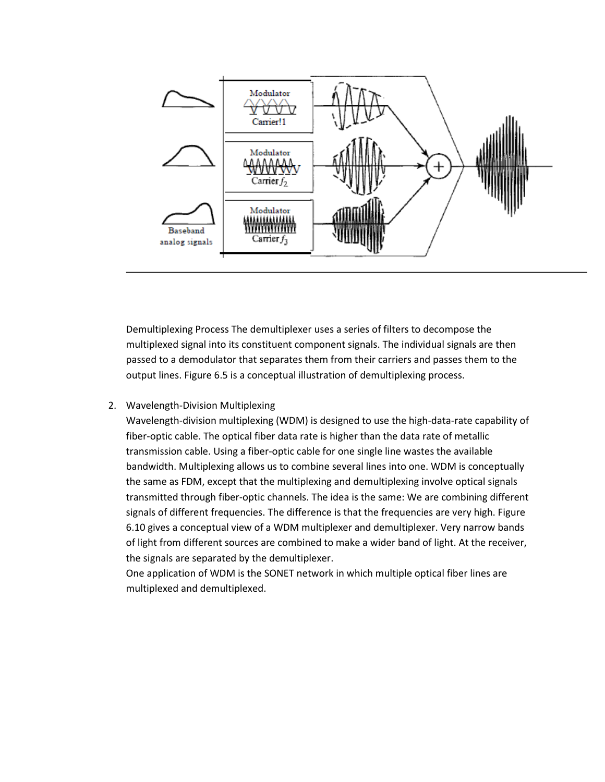

Demultiplexing Process The demultiplexer uses a series of filters to decompose the multiplexed signal into its constituent component signals. The individual signals are then passed to a demodulator that separates them from their carriers and passes them to the output lines. Figure 6.5 is a conceptual illustration of demultiplexing process.

2. Wavelength-Division Multiplexing

Wavelength-division multiplexing (WDM) is designed to use the high-data-rate capability of fiber-optic cable. The optical fiber data rate is higher than the data rate of metallic transmission cable. Using a fiber-optic cable for one single line wastes the available bandwidth. Multiplexing allows us to combine several lines into one. WDM is conceptually the same as FDM, except that the multiplexing and demultiplexing involve optical signals transmitted through fiber-optic channels. The idea is the same: We are combining different signals of different frequencies. The difference is that the frequencies are very high. Figure 6.10 gives a conceptual view of a WDM multiplexer and demultiplexer. Very narrow bands of light from different sources are combined to make a wider band of light. At the receiver, the signals are separated by the demultiplexer.

One application of WDM is the SONET network in which multiple optical fiber lines are multiplexed and demultiplexed.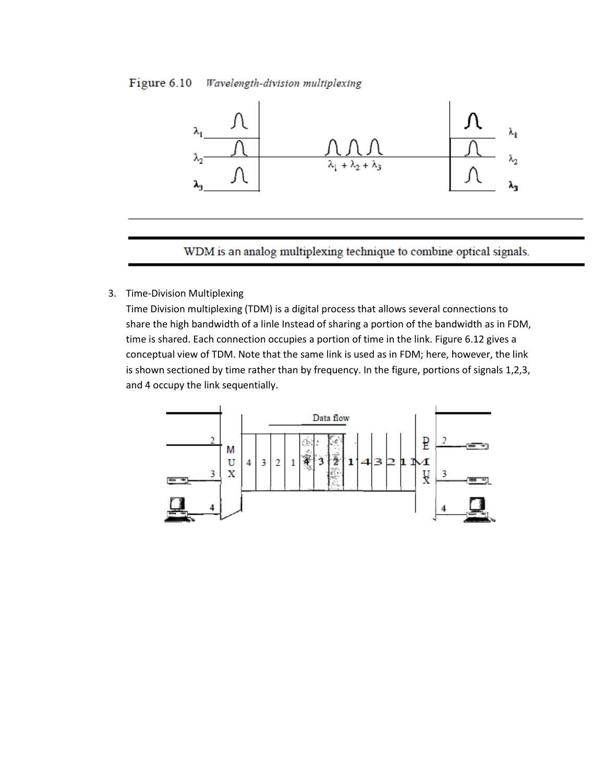Figure 6.10 Wavelength-division multiplexing



WDM is an analog multiplexing technique to combine optical signals.

3. Time-Division Multiplexing

Time Division multiplexing (TDM) is a digital process that allows several connections to share the high bandwidth of a linle Instead of sharing a portion of the bandwidth as in FDM, time is shared. Each connection occupies a portion of time in the link. Figure 6.12 gives a conceptual view of TDM. Note that the same link is used as in FDM; here, however, the link is shown sectioned by time rather than by frequency. In the figure, portions of signals 1,2,3, and 4 occupy the link sequentially.

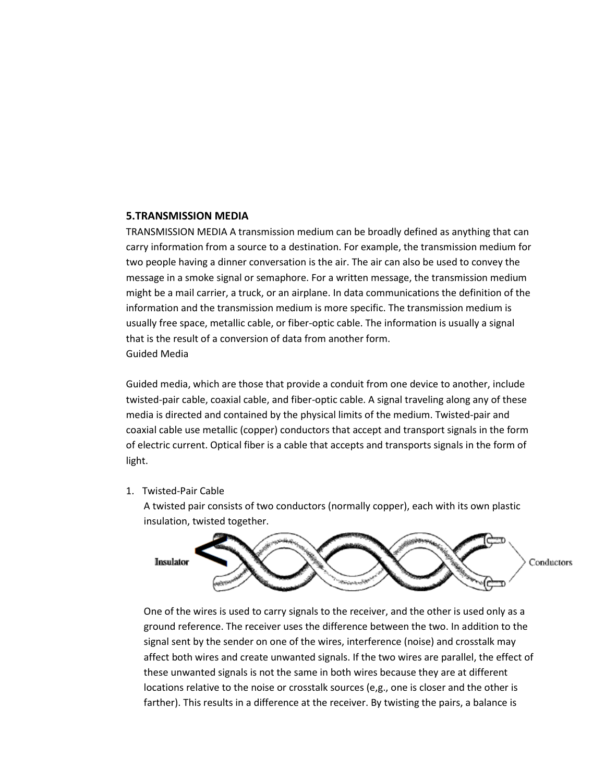#### **5.TRANSMISSION MEDIA**

TRANSMISSION MEDIA A transmission medium can be broadly defined as anything that can carry information from a source to a destination. For example, the transmission medium for two people having a dinner conversation is the air. The air can also be used to convey the message in a smoke signal or semaphore. For a written message, the transmission medium might be a mail carrier, a truck, or an airplane. In data communications the definition of the information and the transmission medium is more specific. The transmission medium is usually free space, metallic cable, or fiber-optic cable. The information is usually a signal that is the result of a conversion of data from another form. Guided Media

Guided media, which are those that provide a conduit from one device to another, include twisted-pair cable, coaxial cable, and fiber-optic cable. A signal traveling along any of these media is directed and contained by the physical limits of the medium. Twisted-pair and coaxial cable use metallic (copper) conductors that accept and transport signals in the form of electric current. Optical fiber is a cable that accepts and transports signals in the form of light.

1. Twisted-Pair Cable

A twisted pair consists of two conductors (normally copper), each with its own plastic insulation, twisted together.



One of the wires is used to carry signals to the receiver, and the other is used only as a ground reference. The receiver uses the difference between the two. In addition to the signal sent by the sender on one of the wires, interference (noise) and crosstalk may affect both wires and create unwanted signals. If the two wires are parallel, the effect of these unwanted signals is not the same in both wires because they are at different locations relative to the noise or crosstalk sources (e,g., one is closer and the other is farther). This results in a difference at the receiver. By twisting the pairs, a balance is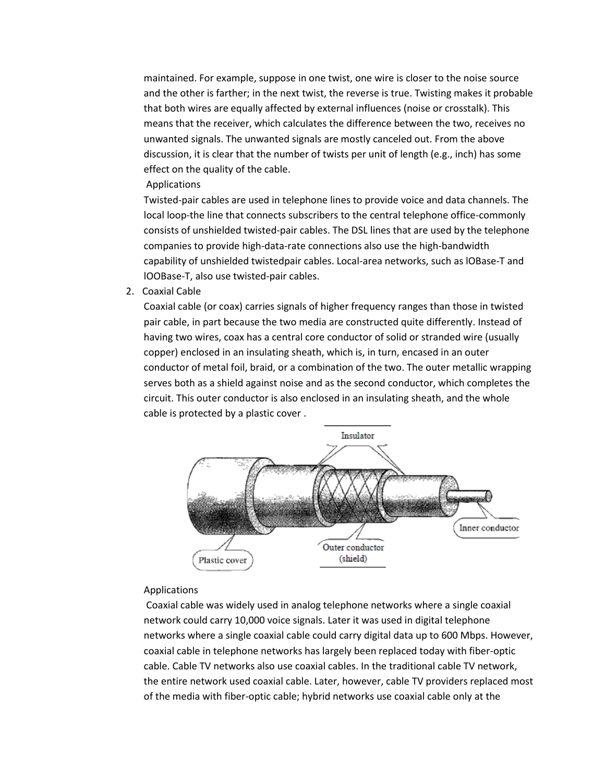maintained. For example, suppose in one twist, one wire is closer to the noise source and the other is farther; in the next twist, the reverse is true. Twisting makes it probable that both wires are equally affected by external influences (noise or crosstalk). This means that the receiver, which calculates the difference between the two, receives no unwanted signals. The unwanted signals are mostly canceled out. From the above discussion, it is clear that the number of twists per unit of length (e.g., inch) has some effect on the quality of the cable.

#### Applications

Twisted-pair cables are used in telephone lines to provide voice and data channels. The local loop-the line that connects subscribers to the central telephone office-commonly consists of unshielded twisted-pair cables. The DSL lines that are used by the telephone companies to provide high-data-rate connections also use the high-bandwidth capability of unshielded twistedpair cables. Local-area networks, such as lOBase-T and lOOBase-T, also use twisted-pair cables.

2. Coaxial Cable

Coaxial cable (or coax) carries signals of higher frequency ranges than those in twisted pair cable, in part because the two media are constructed quite differently. Instead of having two wires, coax has a central core conductor of solid or stranded wire (usually copper) enclosed in an insulating sheath, which is, in turn, encased in an outer conductor of metal foil, braid, or a combination of the two. The outer metallic wrapping serves both as a shield against noise and as the second conductor, which completes the circuit. This outer conductor is also enclosed in an insulating sheath, and the whole cable is protected by a plastic cover .



#### Applications

Coaxial cable was widely used in analog telephone networks where a single coaxial network could carry 10,000 voice signals. Later it was used in digital telephone networks where a single coaxial cable could carry digital data up to 600 Mbps. However, coaxial cable in telephone networks has largely been replaced today with fiber-optic cable. Cable TV networks also use coaxial cables. In the traditional cable TV network, the entire network used coaxial cable. Later, however, cable TV providers replaced most of the media with fiber-optic cable; hybrid networks use coaxial cable only at the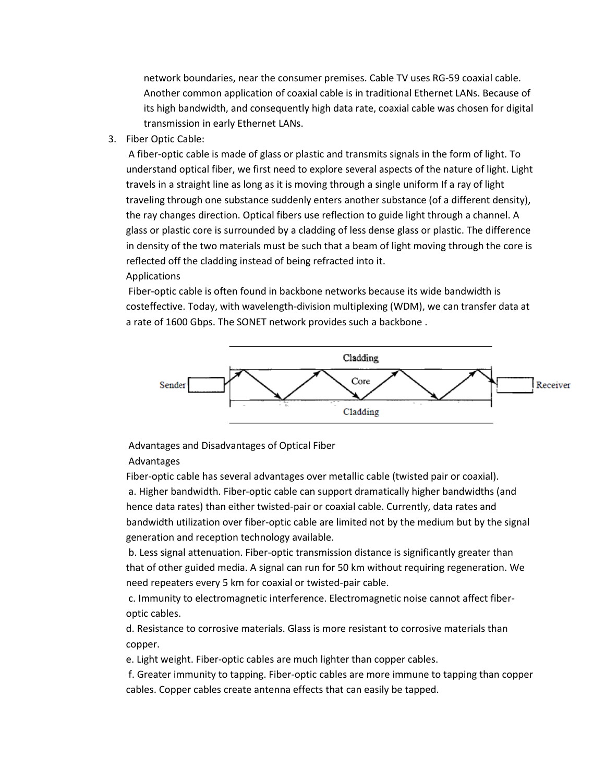network boundaries, near the consumer premises. Cable TV uses RG-59 coaxial cable. Another common application of coaxial cable is in traditional Ethernet LANs. Because of its high bandwidth, and consequently high data rate, coaxial cable was chosen for digital transmission in early Ethernet LANs.

3. Fiber Optic Cable:

A fiber-optic cable is made of glass or plastic and transmits signals in the form of light. To understand optical fiber, we first need to explore several aspects of the nature of light. Light travels in a straight line as long as it is moving through a single uniform If a ray of light traveling through one substance suddenly enters another substance (of a different density), the ray changes direction. Optical fibers use reflection to guide light through a channel. A glass or plastic core is surrounded by a cladding of less dense glass or plastic. The difference in density of the two materials must be such that a beam of light moving through the core is reflected off the cladding instead of being refracted into it.

#### Applications

Fiber-optic cable is often found in backbone networks because its wide bandwidth is costeffective. Today, with wavelength-division multiplexing (WDM), we can transfer data at a rate of 1600 Gbps. The SONET network provides such a backbone .



Advantages and Disadvantages of Optical Fiber

#### Advantages

Fiber-optic cable has several advantages over metallic cable (twisted pair or coaxial). a. Higher bandwidth. Fiber-optic cable can support dramatically higher bandwidths (and hence data rates) than either twisted-pair or coaxial cable. Currently, data rates and bandwidth utilization over fiber-optic cable are limited not by the medium but by the signal generation and reception technology available.

b. Less signal attenuation. Fiber-optic transmission distance is significantly greater than that of other guided media. A signal can run for 50 km without requiring regeneration. We need repeaters every 5 km for coaxial or twisted-pair cable.

c. Immunity to electromagnetic interference. Electromagnetic noise cannot affect fiberoptic cables.

d. Resistance to corrosive materials. Glass is more resistant to corrosive materials than copper.

e. Light weight. Fiber-optic cables are much lighter than copper cables.

f. Greater immunity to tapping. Fiber-optic cables are more immune to tapping than copper cables. Copper cables create antenna effects that can easily be tapped.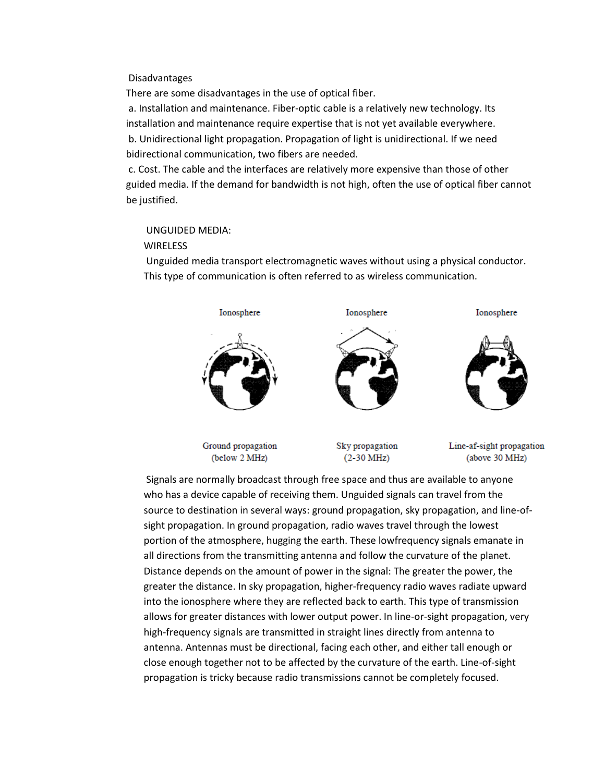#### Disadvantages

There are some disadvantages in the use of optical fiber.

a. Installation and maintenance. Fiber-optic cable is a relatively new technology. Its installation and maintenance require expertise that is not yet available everywhere. b. Unidirectional light propagation. Propagation of light is unidirectional. If we need bidirectional communication, two fibers are needed.

c. Cost. The cable and the interfaces are relatively more expensive than those of other guided media. If the demand for bandwidth is not high, often the use of optical fiber cannot be justified.

#### UNGUIDED MEDIA:

### **WIRELESS**

Unguided media transport electromagnetic waves without using a physical conductor. This type of communication is often referred to as wireless communication.



Signals are normally broadcast through free space and thus are available to anyone who has a device capable of receiving them. Unguided signals can travel from the source to destination in several ways: ground propagation, sky propagation, and line-ofsight propagation. In ground propagation, radio waves travel through the lowest portion of the atmosphere, hugging the earth. These lowfrequency signals emanate in all directions from the transmitting antenna and follow the curvature of the planet. Distance depends on the amount of power in the signal: The greater the power, the greater the distance. In sky propagation, higher-frequency radio waves radiate upward into the ionosphere where they are reflected back to earth. This type of transmission allows for greater distances with lower output power. In line-or-sight propagation, very high-frequency signals are transmitted in straight lines directly from antenna to antenna. Antennas must be directional, facing each other, and either tall enough or close enough together not to be affected by the curvature of the earth. Line-of-sight propagation is tricky because radio transmissions cannot be completely focused.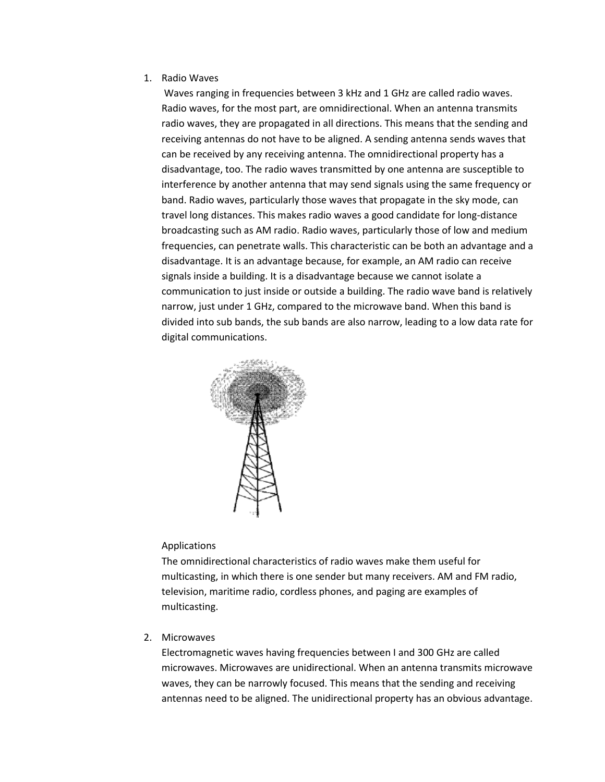1. Radio Waves

Waves ranging in frequencies between 3 kHz and 1 GHz are called radio waves. Radio waves, for the most part, are omnidirectional. When an antenna transmits radio waves, they are propagated in all directions. This means that the sending and receiving antennas do not have to be aligned. A sending antenna sends waves that can be received by any receiving antenna. The omnidirectional property has a disadvantage, too. The radio waves transmitted by one antenna are susceptible to interference by another antenna that may send signals using the same frequency or band. Radio waves, particularly those waves that propagate in the sky mode, can travel long distances. This makes radio waves a good candidate for long-distance broadcasting such as AM radio. Radio waves, particularly those of low and medium frequencies, can penetrate walls. This characteristic can be both an advantage and a disadvantage. It is an advantage because, for example, an AM radio can receive signals inside a building. It is a disadvantage because we cannot isolate a communication to just inside or outside a building. The radio wave band is relatively narrow, just under 1 GHz, compared to the microwave band. When this band is divided into sub bands, the sub bands are also narrow, leading to a low data rate for digital communications.



#### Applications

The omnidirectional characteristics of radio waves make them useful for multicasting, in which there is one sender but many receivers. AM and FM radio, television, maritime radio, cordless phones, and paging are examples of multicasting.

2. Microwaves

Electromagnetic waves having frequencies between I and 300 GHz are called microwaves. Microwaves are unidirectional. When an antenna transmits microwave waves, they can be narrowly focused. This means that the sending and receiving antennas need to be aligned. The unidirectional property has an obvious advantage.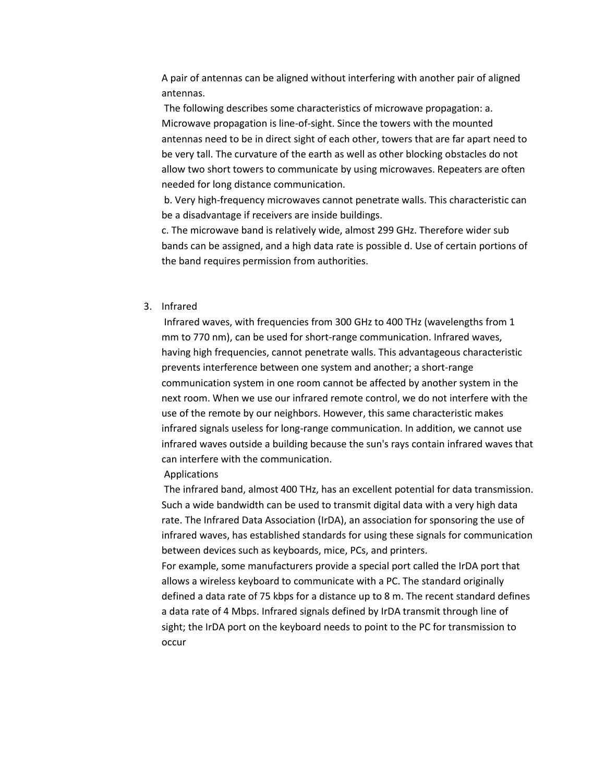A pair of antennas can be aligned without interfering with another pair of aligned antennas.

The following describes some characteristics of microwave propagation: a. Microwave propagation is line-of-sight. Since the towers with the mounted antennas need to be in direct sight of each other, towers that are far apart need to be very tall. The curvature of the earth as well as other blocking obstacles do not allow two short towers to communicate by using microwaves. Repeaters are often needed for long distance communication.

b. Very high-frequency microwaves cannot penetrate walls. This characteristic can be a disadvantage if receivers are inside buildings.

c. The microwave band is relatively wide, almost 299 GHz. Therefore wider sub bands can be assigned, and a high data rate is possible d. Use of certain portions of the band requires permission from authorities.

#### 3. Infrared

Infrared waves, with frequencies from 300 GHz to 400 THz (wavelengths from 1 mm to 770 nm), can be used for short-range communication. Infrared waves, having high frequencies, cannot penetrate walls. This advantageous characteristic prevents interference between one system and another; a short-range communication system in one room cannot be affected by another system in the next room. When we use our infrared remote control, we do not interfere with the use of the remote by our neighbors. However, this same characteristic makes infrared signals useless for long-range communication. In addition, we cannot use infrared waves outside a building because the sun's rays contain infrared waves that can interfere with the communication.

#### Applications

The infrared band, almost 400 THz, has an excellent potential for data transmission. Such a wide bandwidth can be used to transmit digital data with a very high data rate. The Infrared Data Association (IrDA), an association for sponsoring the use of infrared waves, has established standards for using these signals for communication between devices such as keyboards, mice, PCs, and printers. For example, some manufacturers provide a special port called the IrDA port that

allows a wireless keyboard to communicate with a PC. The standard originally defined a data rate of 75 kbps for a distance up to 8 m. The recent standard defines a data rate of 4 Mbps. Infrared signals defined by IrDA transmit through line of sight; the IrDA port on the keyboard needs to point to the PC for transmission to occur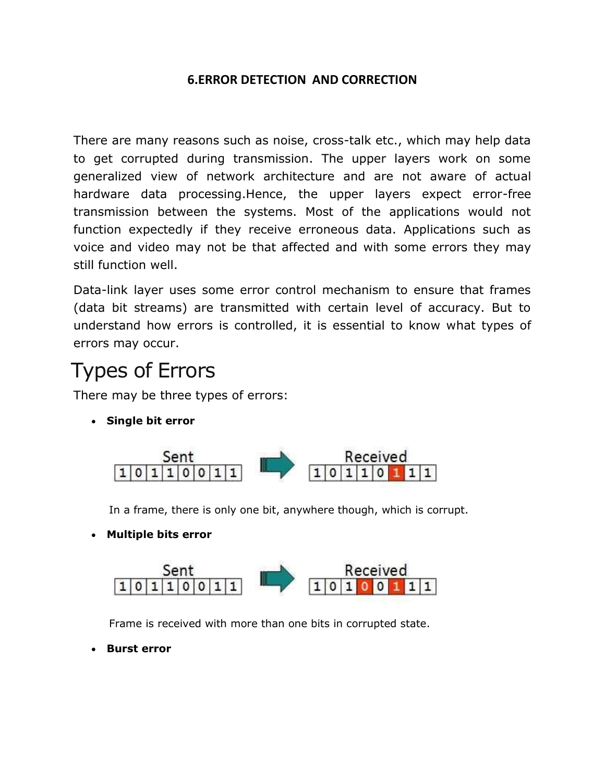### **6.ERROR DETECTION AND CORRECTION**

There are many reasons such as noise, cross-talk etc., which may help data to get corrupted during transmission. The upper layers work on some generalized view of network architecture and are not aware of actual hardware data processing.Hence, the upper layers expect error-free transmission between the systems. Most of the applications would not function expectedly if they receive erroneous data. Applications such as voice and video may not be that affected and with some errors they may still function well.

Data-link layer uses some error control mechanism to ensure that frames (data bit streams) are transmitted with certain level of accuracy. But to understand how errors is controlled, it is essential to know what types of errors may occur.

# Types of Errors

There may be three types of errors:

• **Single bit error**



In a frame, there is only one bit, anywhere though, which is corrupt.

• **Multiple bits error**



Frame is received with more than one bits in corrupted state.

• **Burst error**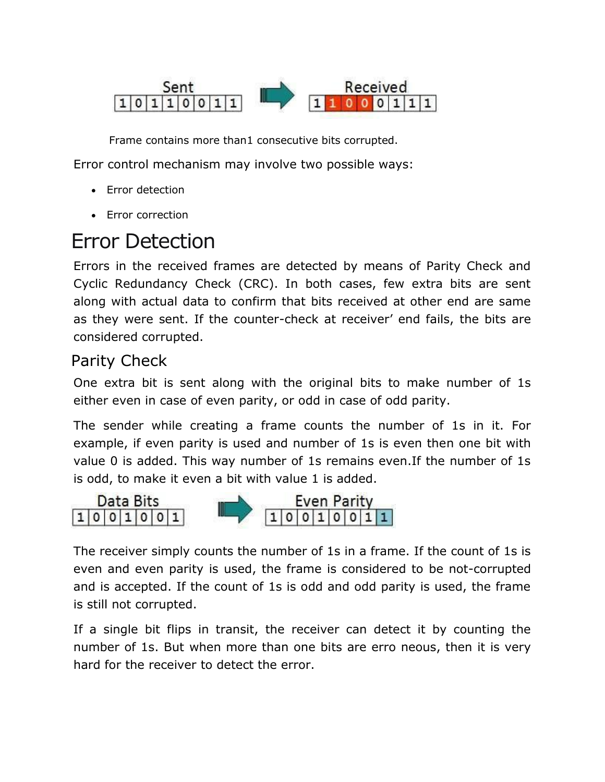

Frame contains more than1 consecutive bits corrupted.

Error control mechanism may involve two possible ways:

- Error detection
- Error correction

# Error Detection

Errors in the received frames are detected by means of Parity Check and Cyclic Redundancy Check (CRC). In both cases, few extra bits are sent along with actual data to confirm that bits received at other end are same as they were sent. If the counter-check at receiver' end fails, the bits are considered corrupted.

## Parity Check

One extra bit is sent along with the original bits to make number of 1s either even in case of even parity, or odd in case of odd parity.

The sender while creating a frame counts the number of 1s in it. For example, if even parity is used and number of 1s is even then one bit with value 0 is added. This way number of 1s remains even.If the number of 1s is odd, to make it even a bit with value 1 is added.



The receiver simply counts the number of 1s in a frame. If the count of 1s is even and even parity is used, the frame is considered to be not-corrupted and is accepted. If the count of 1s is odd and odd parity is used, the frame is still not corrupted.

If a single bit flips in transit, the receiver can detect it by counting the number of 1s. But when more than one bits are erro neous, then it is very hard for the receiver to detect the error.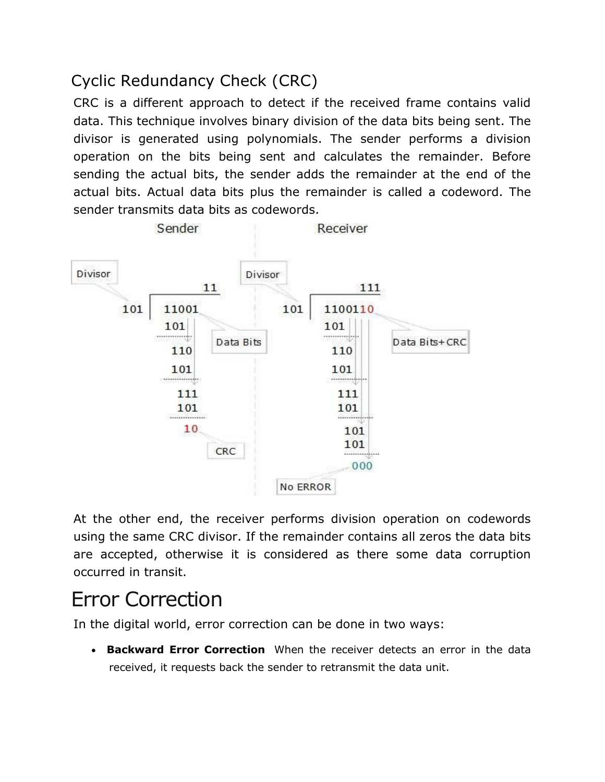# Cyclic Redundancy Check (CRC)

CRC is a different approach to detect if the received frame contains valid data. This technique involves binary division of the data bits being sent. The divisor is generated using polynomials. The sender performs a division operation on the bits being sent and calculates the remainder. Before sending the actual bits, the sender adds the remainder at the end of the actual bits. Actual data bits plus the remainder is called a codeword. The sender transmits data bits as codewords.



At the other end, the receiver performs division operation on codewords using the same CRC divisor. If the remainder contains all zeros the data bits are accepted, otherwise it is considered as there some data corruption occurred in transit.

# Error Correction

In the digital world, error correction can be done in two ways:

• **Backward Error Correction** When the receiver detects an error in the data received, it requests back the sender to retransmit the data unit.